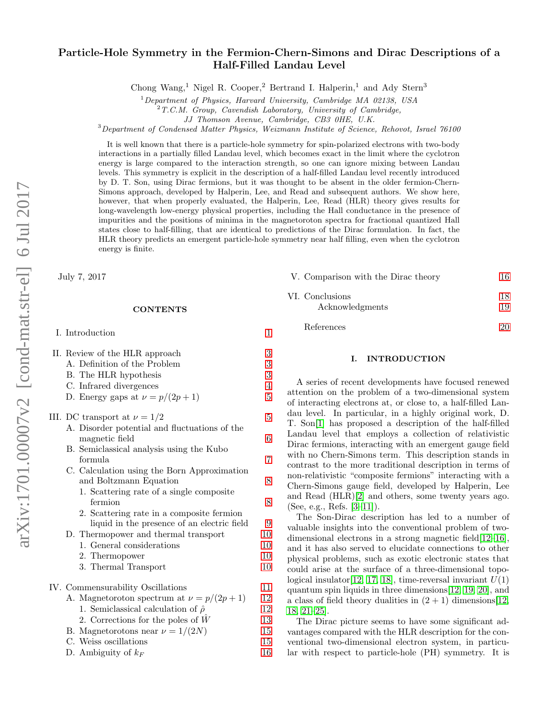# Particle-Hole Symmetry in the Fermion-Chern-Simons and Dirac Descriptions of a Half-Filled Landau Level

Chong Wang,<sup>1</sup> Nigel R. Cooper,<sup>2</sup> Bertrand I. Halperin,<sup>1</sup> and Ady Stern<sup>3</sup>

 $1$  Department of Physics, Harvard University, Cambridge MA 02138, USA

 $2T.C.M.$  Group, Cavendish Laboratory, University of Cambridge,

JJ Thomson Avenue, Cambridge, CB3 0HE, U.K.

<sup>3</sup>Department of Condensed Matter Physics, Weizmann Institute of Science, Rehovot, Israel 76100

It is well known that there is a particle-hole symmetry for spin-polarized electrons with two-body interactions in a partially filled Landau level, which becomes exact in the limit where the cyclotron energy is large compared to the interaction strength, so one can ignore mixing between Landau levels. This symmetry is explicit in the description of a half-filled Landau level recently introduced by D. T. Son, using Dirac fermions, but it was thought to be absent in the older fermion-Chern-Simons approach, developed by Halperin, Lee, and Read and subsequent authors. We show here, however, that when properly evaluated, the Halperin, Lee, Read (HLR) theory gives results for long-wavelength low-energy physical properties, including the Hall conductance in the presence of impurities and the positions of minima in the magnetoroton spectra for fractional quantized Hall states close to half-filling, that are identical to predictions of the Dirac formulation. In fact, the HLR theory predicts an emergent particle-hole symmetry near half filling, even when the cyclotron energy is finite.

July 7, 2017

| <b>CONTENTS</b>                               |                |
|-----------------------------------------------|----------------|
| I. Introduction                               | $\mathbf 1$    |
| II. Review of the HLR approach                | 3              |
| A. Definition of the Problem                  | 3              |
| B. The HLR hypothesis                         | 3              |
| C. Infrared divergences                       | $\overline{4}$ |
| D. Energy gaps at $\nu = p/(2p+1)$            | $\overline{5}$ |
| III. DC transport at $\nu = 1/2$              | $\overline{5}$ |
| A. Disorder potential and fluctuations of the |                |
| magnetic field                                | 6              |
| B. Semiclassical analysis using the Kubo      |                |
| formula                                       | 7              |
| C. Calculation using the Born Approximation   |                |
| and Boltzmann Equation                        | 8              |
| 1. Scattering rate of a single composite      |                |
| fermion                                       | 8              |
| 2. Scattering rate in a composite fermion     |                |
| liquid in the presence of an electric field   | 9              |
| D. Thermopower and thermal transport          | 10             |
| 1. General considerations                     | 10             |
| 2. Thermopower                                | 10             |
| 3. Thermal Transport                          | 10             |
| IV. Commensurability Oscillations             | 11             |
| A. Magnetoroton spectrum at $\nu = p/(2p+1)$  | 12             |
| 1. Semiclassical calculation of $\hat{\rho}$  | 12             |
| 2. Corrections for the poles of $\hat{W}$     | 13             |
| B. Magnetorotons near $\nu = 1/(2N)$          | 15             |

C. Weiss oscillations [15](#page-14-1)

D. Ambiguity of 
$$
k_F
$$
 16

V. Comparison with the Dirac theory [16](#page-15-1)

VI. Conclusions [18](#page-17-0)

Acknowledgments [19](#page-18-0)

References [20](#page-19-0)

### <span id="page-0-0"></span>I. INTRODUCTION

A series of recent developments have focused renewed attention on the problem of a two-dimensional system of interacting electrons at, or close to, a half-filled Landau level. In particular, in a highly original work, D. T. Son[\[1\]](#page-19-1) has proposed a description of the half-filled Landau level that employs a collection of relativistic Dirac fermions, interacting with an emergent gauge field with no Chern-Simons term. This description stands in contrast to the more traditional description in terms of non-relativistic "composite fermions" interacting with a Chern-Simons gauge field, developed by Halperin, Lee and Read (HLR)[\[2\]](#page-19-2) and others, some twenty years ago. (See, e.g., Refs. [\[3–](#page-19-3)[11\]](#page-19-4)).

The Son-Dirac description has led to a number of valuable insights into the conventional problem of twodimensional electrons in a strong magnetic field[\[12–](#page-19-5)[16\]](#page-19-6), and it has also served to elucidate connections to other physical problems, such as exotic electronic states that could arise at the surface of a three-dimensional topo-logical insulator [\[12,](#page-19-5) [17,](#page-19-7) [18\]](#page-19-8), time-reversal invariant  $U(1)$ quantum spin liquids in three dimensions[\[12,](#page-19-5) [19,](#page-19-9) [20\]](#page-19-10), and a class of field theory dualities in  $(2 + 1)$  dimensions [\[12,](#page-19-5) [18,](#page-19-8) [21](#page-19-11)[–25\]](#page-19-12).

The Dirac picture seems to have some significant advantages compared with the HLR description for the conventional two-dimensional electron system, in particular with respect to particle-hole (PH) symmetry. It is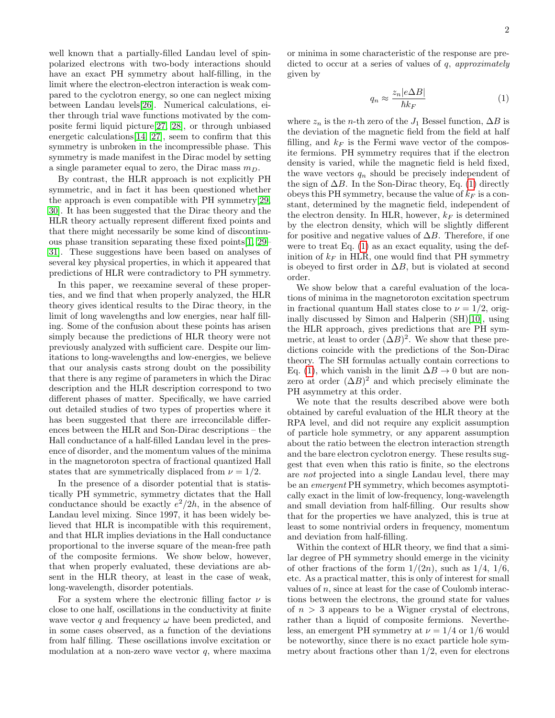well known that a partially-filled Landau level of spinpolarized electrons with two-body interactions should have an exact PH symmetry about half-filling, in the limit where the electron-electron interaction is weak compared to the cyclotron energy, so one can neglect mixing between Landau levels[\[26\]](#page-19-13). Numerical calculations, either through trial wave functions motivated by the composite fermi liquid picture[\[27,](#page-19-14) [28\]](#page-19-15), or through unbiased energetic calculations[\[14,](#page-19-16) [27\]](#page-19-14), seem to confirm that this symmetry is unbroken in the incompressible phase. This symmetry is made manifest in the Dirac model by setting a single parameter equal to zero, the Dirac mass  $m_D$ .

By contrast, the HLR approach is not explicitly PH symmetric, and in fact it has been questioned whether the approach is even compatible with PH symmetry[\[29,](#page-19-17) [30\]](#page-19-18). It has been suggested that the Dirac theory and the HLR theory actually represent different fixed points and that there might necessarily be some kind of discontinuous phase transition separating these fixed points[\[1,](#page-19-1) [29–](#page-19-17) [31\]](#page-19-19). These suggestions have been based on analyses of several key physical properties, in which it appeared that predictions of HLR were contradictory to PH symmetry.

In this paper, we reexamine several of these properties, and we find that when properly analyzed, the HLR theory gives identical results to the Dirac theory, in the limit of long wavelengths and low energies, near half filling. Some of the confusion about these points has arisen simply because the predictions of HLR theory were not previously analyzed with sufficient care. Despite our limitations to long-wavelengths and low-energies, we believe that our analysis casts strong doubt on the possibility that there is any regime of parameters in which the Dirac description and the HLR description correspond to two different phases of matter. Specifically, we have carried out detailed studies of two types of properties where it has been suggested that there are irreconcilable differences between the HLR and Son-Dirac descriptions – the Hall conductance of a half-filled Landau level in the presence of disorder, and the momentum values of the minima in the magnetoroton spectra of fractional quantized Hall states that are symmetrically displaced from  $\nu = 1/2$ .

In the presence of a disorder potential that is statistically PH symmetric, symmetry dictates that the Hall conductance should be exactly  $e^2/2h$ , in the absence of Landau level mixing. Since 1997, it has been widely believed that HLR is incompatible with this requirement, and that HLR implies deviations in the Hall conductance proportional to the inverse square of the mean-free path of the composite fermions. We show below, however, that when properly evaluated, these deviations are absent in the HLR theory, at least in the case of weak, long-wavelength, disorder potentials.

For a system where the electronic filling factor  $\nu$  is close to one half, oscillations in the conductivity at finite wave vector q and frequency  $\omega$  have been predicted, and in some cases observed, as a function of the deviations from half filling. These oscillations involve excitation or modulation at a non-zero wave vector  $q$ , where maxima or minima in some characteristic of the response are predicted to occur at a series of values of q, approximately given by

<span id="page-1-0"></span>
$$
q_n \approx \frac{z_n |e \Delta B|}{\hbar k_F} \tag{1}
$$

where  $z_n$  is the *n*-th zero of the  $J_1$  Bessel function,  $\Delta B$  is the deviation of the magnetic field from the field at half filling, and  $k_F$  is the Fermi wave vector of the composite fermions. PH symmetry requires that if the electron density is varied, while the magnetic field is held fixed, the wave vectors  $q_n$  should be precisely independent of the sign of  $\Delta B$ . In the Son-Dirac theory, Eq. [\(1\)](#page-1-0) directly obeys this PH symmetry, because the value of  $k_F$  is a constant, determined by the magnetic field, independent of the electron density. In HLR, however,  $k_F$  is determined by the electron density, which will be slightly different for positive and negative values of  $\Delta B$ . Therefore, if one were to treat Eq. [\(1\)](#page-1-0) as an exact equality, using the definition of  $k_F$  in HLR, one would find that PH symmetry is obeyed to first order in  $\Delta B$ , but is violated at second order.

We show below that a careful evaluation of the locations of minima in the magnetoroton excitation spectrum in fractional quantum Hall states close to  $\nu = 1/2$ , originally discussed by Simon and Halperin (SH)[\[10\]](#page-19-20), using the HLR approach, gives predictions that are PH symmetric, at least to order  $(\Delta B)^2$ . We show that these predictions coincide with the predictions of the Son-Dirac theory. The SH formulas actually contain corrections to Eq. [\(1\)](#page-1-0), which vanish in the limit  $\Delta B \to 0$  but are nonzero at order  $(\Delta B)^2$  and which precisely eliminate the PH asymmetry at this order.

We note that the results described above were both obtained by careful evaluation of the HLR theory at the RPA level, and did not require any explicit assumption of particle hole symmetry, or any apparent assumption about the ratio between the electron interaction strength and the bare electron cyclotron energy. These results suggest that even when this ratio is finite, so the electrons are not projected into a single Landau level, there may be an emergent PH symmetry, which becomes asymptotically exact in the limit of low-frequency, long-wavelength and small deviation from half-filling. Our results show that for the properties we have analyzed, this is true at least to some nontrivial orders in frequency, momentum and deviation from half-filling.

Within the context of HLR theory, we find that a similar degree of PH symmetry should emerge in the vicinity of other fractions of the form  $1/(2n)$ , such as  $1/4$ ,  $1/6$ , etc. As a practical matter, this is only of interest for small values of  $n$ , since at least for the case of Coulomb interactions between the electrons, the ground state for values of  $n > 3$  appears to be a Wigner crystal of electrons, rather than a liquid of composite fermions. Nevertheless, an emergent PH symmetry at  $\nu = 1/4$  or 1/6 would be noteworthy, since there is no exact particle hole symmetry about fractions other than  $1/2$ , even for electrons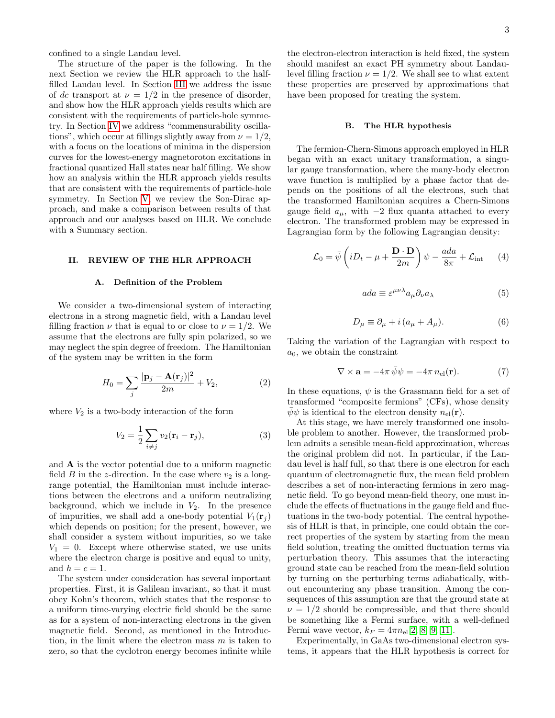confined to a single Landau level.

The structure of the paper is the following. In the next Section we review the HLR approach to the halffilled Landau level. In Section [III](#page-4-1) we address the issue of dc transport at  $\nu = 1/2$  in the presence of disorder, and show how the HLR approach yields results which are consistent with the requirements of particle-hole symmetry. In Section [IV](#page-10-0) we address "commensurability oscillations", which occur at fillings slightly away from  $\nu = 1/2$ , with a focus on the locations of minima in the dispersion curves for the lowest-energy magnetoroton excitations in fractional quantized Hall states near half filling. We show how an analysis within the HLR approach yields results that are consistent with the requirements of particle-hole symmetry. In Section [V,](#page-15-1) we review the Son-Dirac approach, and make a comparison between results of that approach and our analyses based on HLR. We conclude with a Summary section.

#### <span id="page-2-0"></span>II. REVIEW OF THE HLR APPROACH

### <span id="page-2-1"></span>A. Definition of the Problem

We consider a two-dimensional system of interacting electrons in a strong magnetic field, with a Landau level filling fraction  $\nu$  that is equal to or close to  $\nu = 1/2$ . We assume that the electrons are fully spin polarized, so we may neglect the spin degree of freedom. The Hamiltonian of the system may be written in the form

$$
H_0 = \sum_j \frac{|\mathbf{p}_j - \mathbf{A}(\mathbf{r}_j)|^2}{2m} + V_2,
$$
 (2)

where  $V_2$  is a two-body interaction of the form

$$
V_2 = \frac{1}{2} \sum_{i \neq j} v_2 (\mathbf{r}_i - \mathbf{r}_j), \tag{3}
$$

and A is the vector potential due to a uniform magnetic field B in the z-direction. In the case where  $v_2$  is a longrange potential, the Hamiltonian must include interactions between the electrons and a uniform neutralizing background, which we include in  $V_2$ . In the presence of impurities, we shall add a one-body potential  $V_1(\mathbf{r}_i)$ which depends on position; for the present, however, we shall consider a system without impurities, so we take  $V_1 = 0$ . Except where otherwise stated, we use units where the electron charge is positive and equal to unity, and  $\hbar = c = 1$ .

The system under consideration has several important properties. First, it is Galilean invariant, so that it must obey Kohn's theorem, which states that the response to a uniform time-varying electric field should be the same as for a system of non-interacting electrons in the given magnetic field. Second, as mentioned in the Introduction, in the limit where the electron mass  $m$  is taken to zero, so that the cyclotron energy becomes infinite while

the electron-electron interaction is held fixed, the system should manifest an exact PH symmetry about Landaulevel filling fraction  $\nu = 1/2$ . We shall see to what extent these properties are preserved by approximations that have been proposed for treating the system.

### <span id="page-2-2"></span>B. The HLR hypothesis

The fermion-Chern-Simons approach employed in HLR began with an exact unitary transformation, a singular gauge transformation, where the many-body electron wave function is multiplied by a phase factor that depends on the positions of all the electrons, such that the transformed Hamiltonian acquires a Chern-Simons gauge field  $a_{\mu}$ , with  $-2$  flux quanta attached to every electron. The transformed problem may be expressed in Lagrangian form by the following Lagrangian density:

<span id="page-2-3"></span>
$$
\mathcal{L}_0 = \bar{\psi} \left( iD_t - \mu + \frac{\mathbf{D} \cdot \mathbf{D}}{2m} \right) \psi - \frac{ada}{8\pi} + \mathcal{L}_{\text{int}} \tag{4}
$$

$$
ada \equiv \varepsilon^{\mu\nu\lambda} a_{\mu} \partial_{\nu} a_{\lambda} \tag{5}
$$

$$
D_{\mu} \equiv \partial_{\mu} + i \left( a_{\mu} + A_{\mu} \right). \tag{6}
$$

Taking the variation of the Lagrangian with respect to  $a_0$ , we obtain the constraint

$$
\nabla \times \mathbf{a} = -4\pi \,\bar{\psi}\psi = -4\pi \, n_{\text{el}}(\mathbf{r}).\tag{7}
$$

In these equations,  $\psi$  is the Grassmann field for a set of transformed "composite fermions" (CFs), whose density  $\psi \psi$  is identical to the electron density  $n_{el}(\mathbf{r})$ .

At this stage, we have merely transformed one insoluble problem to another. However, the transformed problem admits a sensible mean-field approximation, whereas the original problem did not. In particular, if the Landau level is half full, so that there is one electron for each quantum of electromagnetic flux, the mean field problem describes a set of non-interacting fermions in zero magnetic field. To go beyond mean-field theory, one must include the effects of fluctuations in the gauge field and fluctuations in the two-body potential. The central hypothesis of HLR is that, in principle, one could obtain the correct properties of the system by starting from the mean field solution, treating the omitted fluctuation terms via perturbation theory. This assumes that the interacting ground state can be reached from the mean-field solution by turning on the perturbing terms adiabatically, without encountering any phase transition. Among the consequences of this assumption are that the ground state at  $\nu = 1/2$  should be compressible, and that there should be something like a Fermi surface, with a well-defined Fermi wave vector,  $k_F = 4\pi n_{\text{el}}[2, 8, 9, 11].$  $k_F = 4\pi n_{\text{el}}[2, 8, 9, 11].$  $k_F = 4\pi n_{\text{el}}[2, 8, 9, 11].$  $k_F = 4\pi n_{\text{el}}[2, 8, 9, 11].$  $k_F = 4\pi n_{\text{el}}[2, 8, 9, 11].$  $k_F = 4\pi n_{\text{el}}[2, 8, 9, 11].$ 

Experimentally, in GaAs two-dimensional electron systems, it appears that the HLR hypothesis is correct for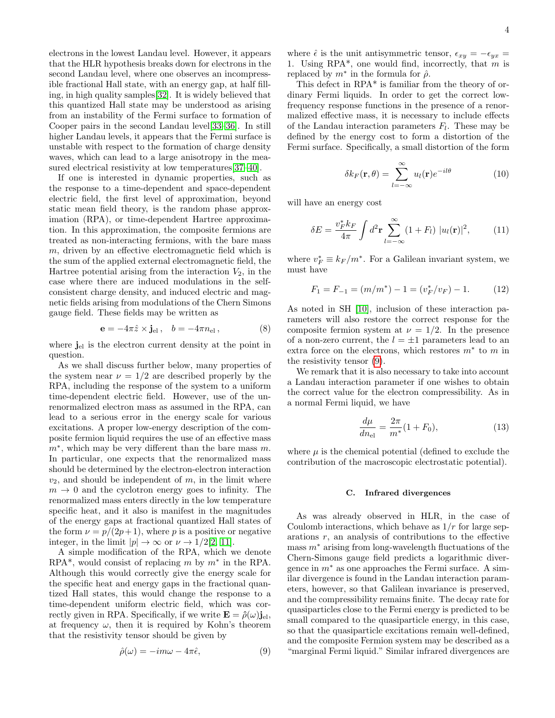electrons in the lowest Landau level. However, it appears that the HLR hypothesis breaks down for electrons in the second Landau level, where one observes an incompressible fractional Hall state, with an energy gap, at half filling, in high quality samples[\[32\]](#page-19-23). It is widely believed that this quantized Hall state may be understood as arising from an instability of the Fermi surface to formation of Cooper pairs in the second Landau level[\[33](#page-20-0)[–36\]](#page-20-1). In still higher Landau levels, it appears that the Fermi surface is unstable with respect to the formation of charge density waves, which can lead to a large anisotropy in the measured electrical resistivity at low temperatures[\[37–](#page-20-2)[40\]](#page-20-3).

If one is interested in dynamic properties, such as the response to a time-dependent and space-dependent electric field, the first level of approximation, beyond static mean field theory, is the random phase approximation (RPA), or time-dependent Hartree approximation. In this approximation, the composite fermions are treated as non-interacting fermions, with the bare mass m, driven by an effective electromagnetic field which is the sum of the applied external electromagnetic field, the Hartree potential arising from the interaction  $V_2$ , in the case where there are induced modulations in the selfconsistent charge density, and induced electric and magnetic fields arising from modulations of the Chern Simons gauge field. These fields may be written as

$$
\mathbf{e} = -4\pi \hat{z} \times \mathbf{j}_{\text{el}}, \quad b = -4\pi n_{\text{el}}, \tag{8}
$$

where  $\mathbf{j}_{el}$  is the electron current density at the point in question.

As we shall discuss further below, many properties of the system near  $\nu = 1/2$  are described properly by the RPA, including the response of the system to a uniform time-dependent electric field. However, use of the unrenormalized electron mass as assumed in the RPA, can lead to a serious error in the energy scale for various excitations. A proper low-energy description of the composite fermion liquid requires the use of an effective mass  $m^*$ , which may be very different than the bare mass m. In particular, one expects that the renormalized mass should be determined by the electron-electron interaction  $v_2$ , and should be independent of m, in the limit where  $m \to 0$  and the cyclotron energy goes to infinity. The renormalized mass enters directly in the low temperature specific heat, and it also is manifest in the magnitudes of the energy gaps at fractional quantized Hall states of the form  $\nu = p/(2p+1)$ , where p is a positive or negative integer, in the limit  $|p| \to \infty$  or  $\nu \to 1/2[2, 11]$  $\nu \to 1/2[2, 11]$  $\nu \to 1/2[2, 11]$ .

A simple modification of the RPA, which we denote RPA<sup>\*</sup>, would consist of replacing m by  $m^*$  in the RPA. Although this would correctly give the energy scale for the specific heat and energy gaps in the fractional quantized Hall states, this would change the response to a time-dependent uniform electric field, which was correctly given in RPA. Specifically, if we write  $\mathbf{E} = \hat{\rho}(\omega)\mathbf{i}_{\text{el}}$ , at frequency  $\omega$ , then it is required by Kohn's theorem that the resistivity tensor should be given by

<span id="page-3-1"></span>
$$
\hat{\rho}(\omega) = -im\omega - 4\pi \hat{\epsilon},\tag{9}
$$

where  $\hat{\epsilon}$  is the unit antisymmetric tensor,  $\epsilon_{xy} = -\epsilon_{yx}$  = 1. Using RPA<sup>\*</sup>, one would find, incorrectly, that m is replaced by  $m^*$  in the formula for  $\hat{\rho}$ .

This defect in RPA\* is familiar from the theory of ordinary Fermi liquids. In order to get the correct lowfrequency response functions in the presence of a renormalized effective mass, it is necessary to include effects of the Landau interaction parameters  $F_l$ . These may be defined by the energy cost to form a distortion of the Fermi surface. Specifically, a small distortion of the form

$$
\delta k_F(\mathbf{r}, \theta) = \sum_{l=-\infty}^{\infty} u_l(\mathbf{r}) e^{-il\theta} \tag{10}
$$

will have an energy cost

$$
\delta E = \frac{v_F^* k_F}{4\pi} \int d^2 \mathbf{r} \sum_{l=-\infty}^{\infty} (1 + F_l) |u_l(\mathbf{r})|^2, \qquad (11)
$$

where  $v_F^* \equiv k_F/m^*$ . For a Galilean invariant system, we must have

$$
F_1 = F_{-1} = (m/m^*) - 1 = (v_F^*/v_F) - 1.
$$
 (12)

As noted in SH [\[10\]](#page-19-20), inclusion of these interaction parameters will also restore the correct response for the composite fermion system at  $\nu = 1/2$ . In the presence of a non-zero current, the  $l = \pm 1$  parameters lead to an extra force on the electrons, which restores  $m^*$  to  $m$  in the resistivity tensor [\(9\)](#page-3-1).

We remark that it is also necessary to take into account a Landau interaction parameter if one wishes to obtain the correct value for the electron compressibility. As in a normal Fermi liquid, we have

$$
\frac{d\mu}{dn_{\rm el}} = \frac{2\pi}{m^*} (1 + F_0),\tag{13}
$$

where  $\mu$  is the chemical potential (defined to exclude the contribution of the macroscopic electrostatic potential).

## <span id="page-3-0"></span>C. Infrared divergences

As was already observed in HLR, in the case of Coulomb interactions, which behave as  $1/r$  for large separations  $r$ , an analysis of contributions to the effective mass  $m^*$  arising from long-wavelength fluctuations of the Chern-Simons gauge field predicts a logarithmic divergence in  $m^*$  as one approaches the Fermi surface. A similar divergence is found in the Landau interaction parameters, however, so that Galilean invariance is preserved, and the compressibility remains finite. The decay rate for quasiparticles close to the Fermi energy is predicted to be small compared to the quasiparticle energy, in this case, so that the quasiparticle excitations remain well-defined, and the composite Fermion system may be described as a "marginal Fermi liquid." Similar infrared divergences are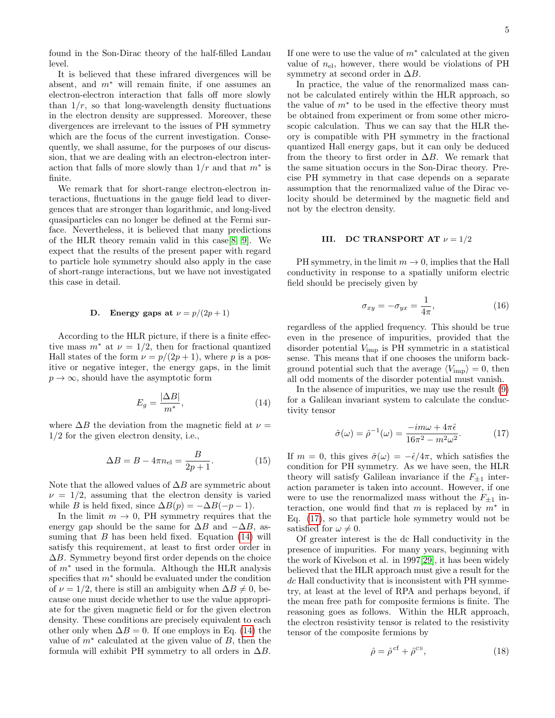found in the Son-Dirac theory of the half-filled Landau level.

It is believed that these infrared divergences will be absent, and  $m^*$  will remain finite, if one assumes an electron-electron interaction that falls off more slowly than  $1/r$ , so that long-wavelength density fluctuations in the electron density are suppressed. Moreover, these divergences are irrelevant to the issues of PH symmetry which are the focus of the current investigation. Consequently, we shall assume, for the purposes of our discussion, that we are dealing with an electron-electron interaction that falls of more slowly than  $1/r$  and that  $m^*$  is finite.

We remark that for short-range electron-electron interactions, fluctuations in the gauge field lead to divergences that are stronger than logarithmic, and long-lived quasiparticles can no longer be defined at the Fermi surface. Nevertheless, it is believed that many predictions of the HLR theory remain valid in this case[\[8,](#page-19-21) [9\]](#page-19-22). We expect that the results of the present paper with regard to particle hole symmetry should also apply in the case of short-range interactions, but we have not investigated this case in detail.

## <span id="page-4-0"></span>D. Energy gaps at  $\nu = p/(2p+1)$

According to the HLR picture, if there is a finite effective mass  $m^*$  at  $\nu = 1/2$ , then for fractional quantized Hall states of the form  $\nu = p/(2p+1)$ , where p is a positive or negative integer, the energy gaps, in the limit  $p \to \infty$ , should have the asymptotic form

<span id="page-4-2"></span>
$$
E_g = \frac{|\Delta B|}{m^*},\tag{14}
$$

where  $\Delta B$  the deviation from the magnetic field at  $\nu =$ 1/2 for the given electron density, i.e.,

$$
\Delta B = B - 4\pi n_{\rm el} = \frac{B}{2p+1}.
$$
 (15)

Note that the allowed values of  $\Delta B$  are symmetric about  $\nu = 1/2$ , assuming that the electron density is varied while B is held fixed, since  $\Delta B(p) = -\Delta B(-p-1)$ .

In the limit  $m \to 0$ , PH symmetry requires that the energy gap should be the same for  $\Delta B$  and  $-\Delta B$ , assuming that  $B$  has been held fixed. Equation  $(14)$  will satisfy this requirement, at least to first order order in  $\Delta B$ . Symmetry beyond first order depends on the choice of  $m^*$  used in the formula. Although the HLR analysis specifies that  $m^*$  should be evaluated under the condition of  $\nu = 1/2$ , there is still an ambiguity when  $\Delta B \neq 0$ , because one must decide whether to use the value appropriate for the given magnetic field or for the given electron density. These conditions are precisely equivalent to each other only when  $\Delta B = 0$ . If one employs in Eq. [\(14\)](#page-4-2) the value of  $m^*$  calculated at the given value of  $B$ , then the formula will exhibit PH symmetry to all orders in  $\Delta B$ .

If one were to use the value of  $m^*$  calculated at the given value of  $n_{el}$ , however, there would be violations of PH symmetry at second order in  $\Delta B$ .

In practice, the value of the renormalized mass cannot be calculated entirely within the HLR approach, so the value of  $m^*$  to be used in the effective theory must be obtained from experiment or from some other microscopic calculation. Thus we can say that the HLR theory is compatible with PH symmetry in the fractional quantized Hall energy gaps, but it can only be deduced from the theory to first order in  $\Delta B$ . We remark that the same situation occurs in the Son-Dirac theory. Precise PH symmetry in that case depends on a separate assumption that the renormalized value of the Dirac velocity should be determined by the magnetic field and not by the electron density.

## <span id="page-4-1"></span>III. DC TRANSPORT AT  $\nu = 1/2$

PH symmetry, in the limit  $m \to 0$ , implies that the Hall conductivity in response to a spatially uniform electric field should be precisely given by

$$
\sigma_{xy} = -\sigma_{yx} = \frac{1}{4\pi},\tag{16}
$$

regardless of the applied frequency. This should be true even in the presence of impurities, provided that the disorder potential  $V_{\text{imp}}$  is PH symmetric in a statistical sense. This means that if one chooses the uniform background potential such that the average  $\langle V_{\text{imp}} \rangle = 0$ , then all odd moments of the disorder potential must vanish.

In the absence of impurities, we may use the result [\(9\)](#page-3-1) for a Galilean invariant system to calculate the conductivity tensor

<span id="page-4-3"></span>
$$
\hat{\sigma}(\omega) = \hat{\rho}^{-1}(\omega) = \frac{-im\omega + 4\pi\hat{\epsilon}}{16\pi^2 - m^2\omega^2}.
$$
 (17)

If  $m = 0$ , this gives  $\hat{\sigma}(\omega) = -\hat{\epsilon}/4\pi$ , which satisfies the condition for PH symmetry. As we have seen, the HLR theory will satisfy Galilean invariance if the  $F_{\pm 1}$  interaction parameter is taken into account. However, if one were to use the renormalized mass without the  $F_{\pm 1}$  interaction, one would find that m is replaced by  $m^*$  in Eq. [\(17\)](#page-4-3), so that particle hole symmetry would not be satisfied for  $\omega \neq 0$ .

Of greater interest is the dc Hall conductivity in the presence of impurities. For many years, beginning with the work of Kivelson et al. in 1997[\[29\]](#page-19-17), it has been widely believed that the HLR approach must give a result for the dc Hall conductivity that is inconsistent with PH symmetry, at least at the level of RPA and perhaps beyond, if the mean free path for composite fermions is finite. The reasoning goes as follows. Within the HLR approach, the electron resistivity tensor is related to the resistivity tensor of the composite fermions by

$$
\hat{\rho} = \hat{\rho}^{\text{cf}} + \hat{\rho}^{\text{cs}},\tag{18}
$$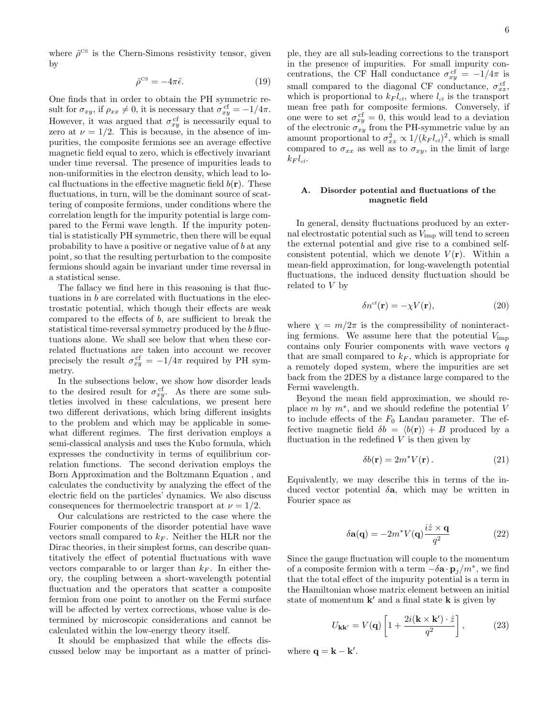where  $\hat{\rho}^{\text{CS}}$  is the Chern-Simons resistivity tensor, given by

$$
\hat{\rho}^{\text{CS}} = -4\pi \hat{\epsilon}.\tag{19}
$$

One finds that in order to obtain the PH symmetric result for  $\sigma_{xy}$ , if  $\rho_{xx} \neq 0$ , it is necessary that  $\sigma_{xy}^{\text{cf}} = -1/4\pi$ . However, it was argued that  $\sigma_{xy}^{\text{cf}}$  is necessarily equal to zero at  $\nu = 1/2$ . This is because, in the absence of impurities, the composite fermions see an average effective magnetic field equal to zero, which is effectively invariant under time reversal. The presence of impurities leads to non-uniformities in the electron density, which lead to local fluctuations in the effective magnetic field  $b(\mathbf{r})$ . These fluctuations, in turn, will be the dominant source of scattering of composite fermions, under conditions where the correlation length for the impurity potential is large compared to the Fermi wave length. If the impurity potential is statistically PH symmetric, then there will be equal probability to have a positive or negative value of b at any point, so that the resulting perturbation to the composite fermions should again be invariant under time reversal in a statistical sense.

The fallacy we find here in this reasoning is that fluctuations in b are correlated with fluctuations in the electrostatic potential, which though their effects are weak compared to the effects of  $b$ , are sufficient to break the statistical time-reversal symmetry produced by the b fluctuations alone. We shall see below that when these correlated fluctuations are taken into account we recover precisely the result  $\sigma_{xy}^{\text{cf}} = -1/4\pi$  required by PH symmetry.

In the subsections below, we show how disorder leads to the desired result for  $\sigma_{xy}^{cf}$ . As there are some subtleties involved in these calculations, we present here two different derivations, which bring different insights to the problem and which may be applicable in somewhat different regimes. The first derivation employs a semi-classical analysis and uses the Kubo formula, which expresses the conductivity in terms of equilibrium correlation functions. The second derivation employs the Born Approximation and the Boltzmann Equation , and calculates the conductivity by analyzing the effect of the electric field on the particles' dynamics. We also discuss consequences for thermoelectric transport at  $\nu = 1/2$ .

Our calculations are restricted to the case where the Fourier components of the disorder potential have wave vectors small compared to  $k_F$ . Neither the HLR nor the Dirac theories, in their simplest forms, can describe quantitatively the effect of potential fluctuations with wave vectors comparable to or larger than  $k_F$ . In either theory, the coupling between a short-wavelength potential fluctuation and the operators that scatter a composite fermion from one point to another on the Fermi surface will be affected by vertex corrections, whose value is determined by microscopic considerations and cannot be calculated within the low-energy theory itself.

It should be emphasized that while the effects discussed below may be important as a matter of princi-

ple, they are all sub-leading corrections to the transport in the presence of impurities. For small impurity concentrations, the CF Hall conductance  $\sigma_{xy}^{\text{cf}} = -1/4\pi$  is small compared to the diagonal CF conductance,  $\sigma_{xx}^{\text{cf}}$ , which is proportional to  $k_F l_{cf}$ , where  $l_{cf}$  is the transport mean free path for composite fermions. Conversely, if one were to set  $\sigma_{xy}^{\text{cf}} = 0$ , this would lead to a deviation of the electronic  $\sigma_{xy}$  from the PH-symmetric value by an amount proportional to  $\sigma_{xx}^2 \propto 1/(k_F l_{\text{cf}})^2$ , which is small compared to  $\sigma_{xx}$  as well as to  $\sigma_{xy}$ , in the limit of large  $k_F l_{\text{cf}}$ .

## <span id="page-5-0"></span>A. Disorder potential and fluctuations of the magnetic field

In general, density fluctuations produced by an external electrostatic potential such as  $V_{\text{imp}}$  will tend to screen the external potential and give rise to a combined selfconsistent potential, which we denote  $V(\mathbf{r})$ . Within a mean-field approximation, for long-wavelength potential fluctuations, the induced density fluctuation should be related to V by

$$
\delta n^{\rm cf}(\mathbf{r}) = -\chi V(\mathbf{r}),\tag{20}
$$

where  $\chi = m/2\pi$  is the compressibility of noninteracting fermions. We assume here that the potential  $V_{\text{imp}}$ contains only Fourier components with wave vectors  $q$ that are small compared to  $k_F$ , which is appropriate for a remotely doped system, where the impurities are set back from the 2DES by a distance large compared to the Fermi wavelength.

Beyond the mean field approximation, we should replace  $m$  by  $m^*$ , and we should redefine the potential V to include effects of the  $F_0$  Landau parameter. The effective magnetic field  $\delta b = \langle b(\mathbf{r}) \rangle + B$  produced by a fluctuation in the redefined  $V$  is then given by

<span id="page-5-1"></span>
$$
\delta b(\mathbf{r}) = 2m^* V(\mathbf{r}).\tag{21}
$$

Equivalently, we may describe this in terms of the induced vector potential  $\delta a$ , which may be written in Fourier space as

$$
\delta \mathbf{a}(\mathbf{q}) = -2m^* V(\mathbf{q}) \frac{i\hat{z} \times \mathbf{q}}{q^2}
$$
 (22)

Since the gauge fluctuation will couple to the momentum of a composite fermion with a term  $-\delta \mathbf{a} \cdot \mathbf{p}_j/m^*$ , we find that the total effect of the impurity potential is a term in the Hamiltonian whose matrix element between an initial state of momentum  $\mathbf{k}'$  and a final state  $\mathbf{k}$  is given by

<span id="page-5-2"></span>
$$
U_{\mathbf{k}\mathbf{k'}} = V(\mathbf{q}) \left[ 1 + \frac{2i(\mathbf{k} \times \mathbf{k'}) \cdot \hat{z}}{q^2} \right],\tag{23}
$$

where  $\mathbf{q} = \mathbf{k} - \mathbf{k}'$ .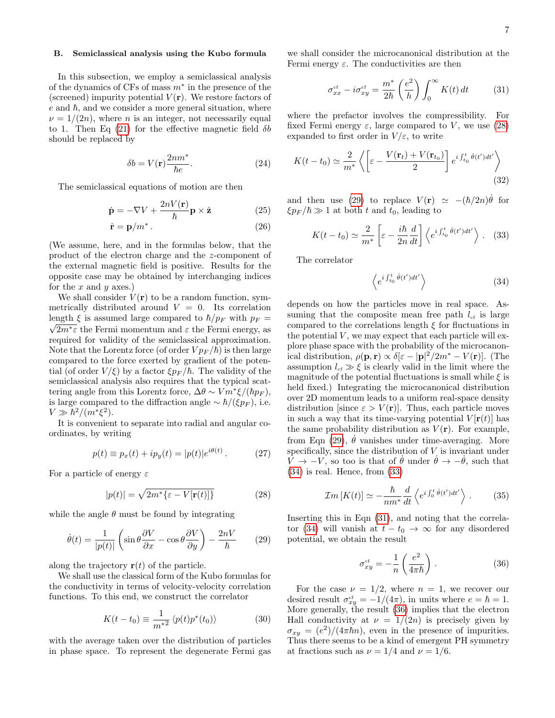### <span id="page-6-0"></span>B. Semiclassical analysis using the Kubo formula

In this subsection, we employ a semiclassical analysis of the dynamics of CFs of mass  $m^*$  in the presence of the (screened) impurity potential  $V(\mathbf{r})$ . We restore factors of  $e$  and  $\hbar$ , and we consider a more general situation, where  $\nu = 1/(2n)$ , where *n* is an integer, not necessarily equal to 1. Then Eq [\(21\)](#page-5-1) for the effective magnetic field  $\delta b$ should be replaced by

$$
\delta b = V(\mathbf{r}) \frac{2nm^*}{\hbar e}.\tag{24}
$$

The semiclassical equations of motion are then

$$
\dot{\mathbf{p}} = -\nabla V + \frac{2nV(\mathbf{r})}{\hbar} \mathbf{p} \times \hat{\mathbf{z}}
$$
 (25)

$$
\dot{\mathbf{r}} = \mathbf{p}/m^* \,. \tag{26}
$$

(We assume, here, and in the formulas below, that the product of the electron charge and the z-component of the external magnetic field is positive. Results for the opposite case may be obtained by interchanging indices for the x and y axes.)

We shall consider  $V(\mathbf{r})$  to be a random function, symmetrically distributed around  $V = 0$ . Its correlation length  $\xi$  is assumed large compared to  $\hbar/p_F$  with  $p_F =$  $\sqrt{2m^* \varepsilon}$  the Fermi momentum and  $\varepsilon$  the Fermi energy, as required for validity of the semiclassical approximation. Note that the Lorentz force (of order  $V p_F / \hbar$ ) is then large compared to the force exerted by gradient of the potential (of order  $V/\xi$ ) by a factor  $\xi p_F/\hbar$ . The validity of the semiclassical analysis also requires that the typical scattering angle from this Lorentz force,  $\Delta\theta \sim V m^* \xi / (\hbar p_F)$ , is large compared to the diffraction angle  $\sim \hbar/(\xi p_F)$ , i.e.  $V \gg \bar{\hbar}^2/(m^*\xi^2).$ 

It is convenient to separate into radial and angular coordinates, by writing

$$
p(t) \equiv p_x(t) + ip_y(t) = |p(t)|e^{i\theta(t)}.
$$
 (27)

For a particle of energy  $\varepsilon$ 

<span id="page-6-1"></span>
$$
|p(t)| = \sqrt{2m^* \{\varepsilon - V[\mathbf{r}(t)]\}}
$$
 (28)

while the angle  $\theta$  must be found by integrating

<span id="page-6-2"></span>
$$
\dot{\theta}(t) = \frac{1}{|p(t)|} \left( \sin \theta \frac{\partial V}{\partial x} - \cos \theta \frac{\partial V}{\partial y} \right) - \frac{2nV}{\hbar} \qquad (29)
$$

along the trajectory  $\mathbf{r}(t)$  of the particle.

We shall use the classical form of the Kubo formulas for the conductivity in terms of velocity-velocity correlation functions. To this end, we construct the correlator

$$
K(t - t_0) \equiv \frac{1}{m^{*2}} \langle p(t)p^*(t_0) \rangle \tag{30}
$$

with the average taken over the distribution of particles in phase space. To represent the degenerate Fermi gas

we shall consider the microcanonical distribution at the Fermi energy  $\varepsilon$ . The conductivities are then

<span id="page-6-5"></span>
$$
\sigma_{xx}^{\text{cf}} - i\sigma_{xy}^{\text{cf}} = \frac{m^*}{2\hbar} \left(\frac{e^2}{h}\right) \int_0^\infty K(t) \, dt \tag{31}
$$

where the prefactor involves the compressibility. For fixed Fermi energy  $\varepsilon$ , large compared to V, we use [\(28\)](#page-6-1) expanded to first order in  $V/\varepsilon$ , to write

$$
K(t - t_0) \simeq \frac{2}{m^*} \left\langle \left[ \varepsilon - \frac{V(\mathbf{r}_t) + V(\mathbf{r}_{t_0})}{2} \right] e^{i \int_{t_0}^t \dot{\theta}(t') dt'} \right\rangle \tag{32}
$$

and then use [\(29\)](#page-6-2) to replace  $V(\mathbf{r}) \simeq -(\hbar/2n)\dot{\theta}$  for  $\xi p_F / \hbar \gg 1$  at both t and  $t_0$ , leading to

<span id="page-6-4"></span>
$$
K(t - t_0) \simeq \frac{2}{m^*} \left[ \varepsilon - \frac{i\hbar}{2n} \frac{d}{dt} \right] \left\langle e^{i \int_{t_0}^t \dot{\theta}(t') dt'} \right\rangle. \tag{33}
$$

The correlator

<span id="page-6-3"></span>
$$
\left\langle e^{i \int_{t_0}^t \dot{\theta}(t')dt'} \right\rangle \tag{34}
$$

depends on how the particles move in real space. Assuming that the composite mean free path  $l_{cf}$  is large compared to the correlations length  $\xi$  for fluctuations in the potential  $V$ , we may expect that each particle will explore phase space with the probability of the microcanonical distribution,  $\rho(\mathbf{p}, \mathbf{r}) \propto \delta[\varepsilon - |\mathbf{p}|^2 / 2m^* - V(\mathbf{r})]$ . (The assumption  $l_{\text{cf}} \gg \xi$  is clearly valid in the limit where the magnitude of the potential fluctuations is small while  $\xi$  is held fixed.) Integrating the microcanonical distribution over 2D momentum leads to a uniform real-space density distribution [since  $\varepsilon > V(\mathbf{r})$ ]. Thus, each particle moves in such a way that its time-varying potential  $V[\mathbf{r}(t)]$  has the same probability distribution as  $V(\mathbf{r})$ . For example, from Eqn [\(29\)](#page-6-2),  $\dot{\theta}$  vanishes under time-averaging. More specifically, since the distribution of  $V$  is invariant under  $V \to -V$ , so too is that of  $\dot{\theta}$  under  $\dot{\theta} \to -\dot{\theta}$ , such that [\(34\)](#page-6-3) is real. Hence, from [\(33\)](#page-6-4)

$$
\mathcal{I}m\left[K(t)\right] \simeq -\frac{\hbar}{nm^*}\frac{d}{dt}\left\langle e^{i\int_0^t \dot{\theta}(t')dt'}\right\rangle. \tag{35}
$$

Inserting this in Eqn [\(31\)](#page-6-5), and noting that the correla-tor [\(34\)](#page-6-3) will vanish at  $t - t_0 \rightarrow \infty$  for any disordered potential, we obtain the result

<span id="page-6-6"></span>
$$
\sigma_{xy}^{\text{cf}} = -\frac{1}{n} \left( \frac{e^2}{4\pi\hbar} \right) . \tag{36}
$$

For the case  $\nu = 1/2$ , where  $n = 1$ , we recover our desired result  $\sigma_{xy}^{ct} = -1/(4\pi)$ , in units where  $e = \hbar = 1$ . More generally, the result [\(36\)](#page-6-6) implies that the electron Hall conductivity at  $\nu = 1/(2n)$  is precisely given by  $\sigma_{xy} = (e^2)/(4\pi\hbar n)$ , even in the presence of impurities. Thus there seems to be a kind of emergent PH symmetry at fractions such as  $\nu = 1/4$  and  $\nu = 1/6$ .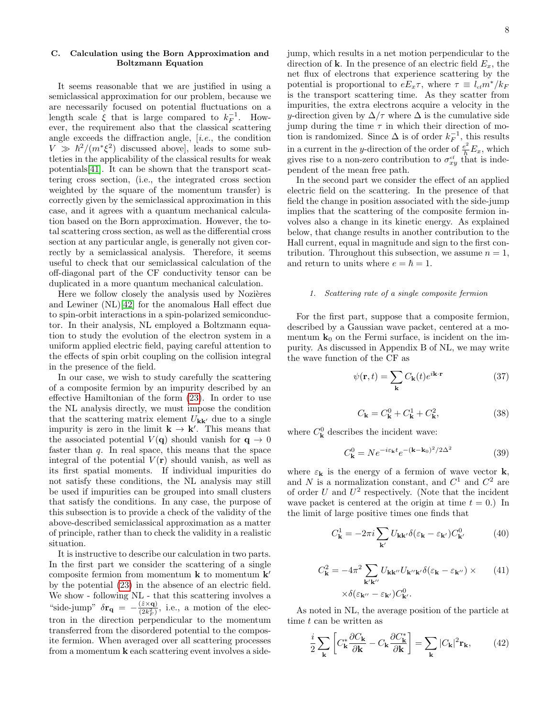## <span id="page-7-0"></span>C. Calculation using the Born Approximation and Boltzmann Equation

It seems reasonable that we are justified in using a semiclassical approximation for our problem, because we are necessarily focused on potential fluctuations on a length scale  $\zeta$  that is large compared to  $k_F^{-1}$ . However, the requirement also that the classical scattering angle exceeds the diffraction angle, [i.e., the condition  $V \gg \hbar^2/(m^*\xi^2)$  discussed above], leads to some subtleties in the applicability of the classical results for weak potentials[\[41\]](#page-20-4). It can be shown that the transport scattering cross section, (i.e., the integrated cross section weighted by the square of the momentum transfer) is correctly given by the semiclassical approximation in this case, and it agrees with a quantum mechanical calculation based on the Born approximation. However, the total scattering cross section, as well as the differential cross section at any particular angle, is generally not given correctly by a semiclassical analysis. Therefore, it seems useful to check that our semiclassical calculation of the off-diagonal part of the CF conductivity tensor can be duplicated in a more quantum mechanical calculation.

Here we follow closely the analysis used by Nozières and Lewiner (NL)[\[42\]](#page-20-5) for the anomalous Hall effect due to spin-orbit interactions in a spin-polarized semiconductor. In their analysis, NL employed a Boltzmann equation to study the evolution of the electron system in a uniform applied electric field, paying careful attention to the effects of spin orbit coupling on the collision integral in the presence of the field.

In our case, we wish to study carefully the scattering of a composite fermion by an impurity described by an effective Hamiltonian of the form [\(23\)](#page-5-2). In order to use the NL analysis directly, we must impose the condition that the scattering matrix element  $U_{kk'}$  due to a single impurity is zero in the limit  $\mathbf{k} \to \mathbf{k}'$ . This means that the associated potential  $V(\mathbf{q})$  should vanish for  $\mathbf{q} \to 0$ faster than  $q$ . In real space, this means that the space integral of the potential  $V(\mathbf{r})$  should vanish, as well as its first spatial moments. If individual impurities do not satisfy these conditions, the NL analysis may still be used if impurities can be grouped into small clusters that satisfy the conditions. In any case, the purpose of this subsection is to provide a check of the validity of the above-described semiclassical approximation as a matter of principle, rather than to check the validity in a realistic situation.

It is instructive to describe our calculation in two parts. In the first part we consider the scattering of a single composite fermion from momentum  $\bf k$  to momentum  $\bf k'$ by the potential [\(23\)](#page-5-2) in the absence of an electric field. We show - following NL - that this scattering involves a "side-jump"  $\delta \mathbf{r}_q = -\frac{(\hat{z} \times \mathbf{q})}{(2k_1^2)}$  $\frac{(z \times q)}{(2k_F^2)}$ , i.e., a motion of the electron in the direction perpendicular to the momentum transferred from the disordered potential to the composite fermion. When averaged over all scattering processes from a momentum k each scattering event involves a sidejump, which results in a net motion perpendicular to the direction of **k**. In the presence of an electric field  $E_x$ , the net flux of electrons that experience scattering by the potential is proportional to  $eE_x\tau$ , where  $\tau \equiv l_{cf}m^*/k_F$ is the transport scattering time. As they scatter from impurities, the extra electrons acquire a velocity in the y-direction given by  $\Delta/\tau$  where  $\Delta$  is the cumulative side jump during the time  $\tau$  in which their direction of motion is randomized. Since  $\Delta$  is of order  $k_F^{-1}$ , this results in a current in the y-direction of the order of  $\frac{e^2}{h}E_x$ , which gives rise to a non-zero contribution to  $\sigma_{xy}^{\text{cf}}$  that is independent of the mean free path.

In the second part we consider the effect of an applied electric field on the scattering. In the presence of that field the change in position associated with the side-jump implies that the scattering of the composite fermion involves also a change in its kinetic energy. As explained below, that change results in another contribution to the Hall current, equal in magnitude and sign to the first contribution. Throughout this subsection, we assume  $n = 1$ , and return to units where  $e = \hbar = 1$ .

### <span id="page-7-1"></span>1. Scattering rate of a single composite fermion

For the first part, suppose that a composite fermion, described by a Gaussian wave packet, centered at a momentum  $k_0$  on the Fermi surface, is incident on the impurity. As discussed in Appendix B of NL, we may write the wave function of the CF as

$$
\psi(\mathbf{r},t) = \sum_{\mathbf{k}} C_{\mathbf{k}}(t)e^{i\mathbf{k}\cdot\mathbf{r}} \tag{37}
$$

$$
C_{\mathbf{k}} = C_{\mathbf{k}}^0 + C_{\mathbf{k}}^1 + C_{\mathbf{k}}^2,\tag{38}
$$

where  $C_{\mathbf{k}}^{0}$  describes the incident wave:

$$
C_{\mathbf{k}}^{0} = Ne^{-i\varepsilon_{\mathbf{k}}t}e^{-(\mathbf{k}-\mathbf{k}_{0})^{2}/2\Delta^{2}}
$$
\n(39)

where  $\varepsilon_{\mathbf{k}}$  is the energy of a fermion of wave vector  $\mathbf{k}$ , and N is a normalization constant, and  $C^1$  and  $C^2$  are of order  $U$  and  $U^2$  respectively. (Note that the incident wave packet is centered at the origin at time  $t = 0$ .) In the limit of large positive times one finds that

$$
C_{\mathbf{k}}^1 = -2\pi i \sum_{\mathbf{k}'} U_{\mathbf{k}\mathbf{k}'} \delta(\varepsilon_{\mathbf{k}} - \varepsilon_{\mathbf{k}'} ) C_{\mathbf{k}'}^0 \tag{40}
$$

$$
C_{\mathbf{k}}^{2} = -4\pi^{2} \sum_{\mathbf{k'}\mathbf{k''}} U_{\mathbf{k}\mathbf{k''}} U_{\mathbf{k''}\mathbf{k'}} \delta(\varepsilon_{\mathbf{k}} - \varepsilon_{\mathbf{k''}}) \times (41)
$$

$$
\times \delta(\varepsilon_{\mathbf{k''}} - \varepsilon_{\mathbf{k'}}) C_{\mathbf{k'}}^{0}.
$$

As noted in NL, the average position of the particle at time t can be written as

$$
\frac{i}{2} \sum_{\mathbf{k}} \left[ C_{\mathbf{k}}^* \frac{\partial C_{\mathbf{k}}}{\partial \mathbf{k}} - C_{\mathbf{k}} \frac{\partial C_{\mathbf{k}}^*}{\partial \mathbf{k}} \right] = \sum_{\mathbf{k}} |C_{\mathbf{k}}|^2 \mathbf{r}_{\mathbf{k}},\qquad(42)
$$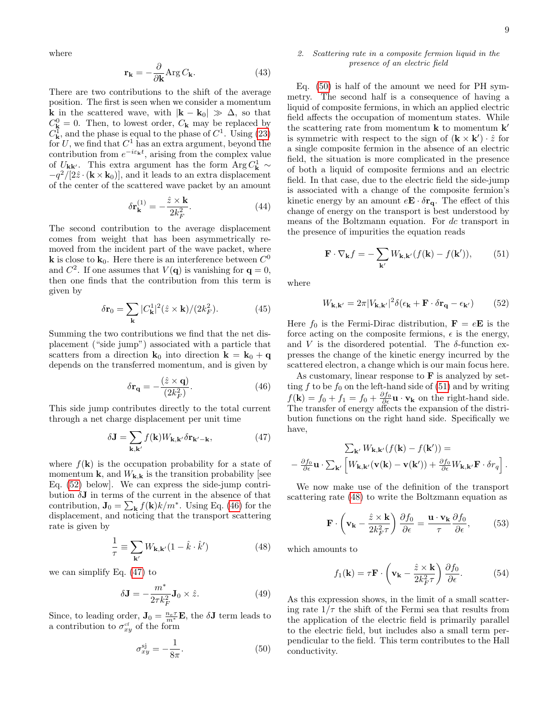where

$$
\mathbf{r}_{\mathbf{k}} = -\frac{\partial}{\partial \mathbf{k}} \text{Arg} C_{\mathbf{k}}.
$$
 (43)

There are two contributions to the shift of the average position. The first is seen when we consider a momentum **k** in the scattered wave, with  $|\mathbf{k} - \mathbf{k}_0| \gg \Delta$ , so that  $C_{\mathbf{k}}^{0} = 0$ . Then, to lowest order,  $C_{\mathbf{k}}$  may be replaced by  $C_{\mathbf{k}}^{\overline{1}}$ , and the phase is equal to the phase of  $C^1$ . Using [\(23\)](#page-5-2) for U, we find that  $C^1$  has an extra argument, beyond the contribution from  $e^{-i\varepsilon_{\mathbf{k}}t}$ , arising from the complex value of  $U_{\mathbf{k}\mathbf{k'}}$ . This extra argument has the form Arg  $C_{\mathbf{k}}^1 \sim$  $-q^2/[2\hat{z}\cdot(\mathbf{k}\times\mathbf{k}_0)]$ , and it leads to an extra displacement of the center of the scattered wave packet by an amount

$$
\delta \mathbf{r}_{\mathbf{k}}^{(1)} = -\frac{\hat{z} \times \mathbf{k}}{2k_F^2}.
$$
 (44)

The second contribution to the average displacement comes from weight that has been asymmetrically removed from the incident part of the wave packet, where **k** is close to **k**<sub>0</sub>. Here there is an interference between  $C^0$ and  $C^2$ . If one assumes that  $V(\mathbf{q})$  is vanishing for  $\mathbf{q}=0$ , then one finds that the contribution from this term is given by

$$
\delta \mathbf{r}_0 = \sum_{\mathbf{k}} |C_{\mathbf{k}}^1|^2 (\hat{z} \times \mathbf{k}) / (2k_F^2). \tag{45}
$$

Summing the two contributions we find that the net displacement ("side jump") associated with a particle that scatters from a direction  $\mathbf{k}_0$  into direction  $\mathbf{k} = \mathbf{k}_0 + \mathbf{q}$ depends on the transferred momentum, and is given by

<span id="page-8-2"></span>
$$
\delta \mathbf{r}_{\mathbf{q}} = -\frac{(\hat{z} \times \mathbf{q})}{(2k_F^2)}.
$$
\n(46)

This side jump contributes directly to the total current through a net charge displacement per unit time

<span id="page-8-3"></span>
$$
\delta \mathbf{J} = \sum_{\mathbf{k}, \mathbf{k}'} f(\mathbf{k}) W_{\mathbf{k}, \mathbf{k}'} \delta \mathbf{r}_{\mathbf{k}' - \mathbf{k}},\tag{47}
$$

where  $f(\mathbf{k})$  is the occupation probability for a state of momentum **k**, and  $W_{\mathbf{k},\mathbf{k}}$  is the transition probability [see Eq. [\(52\)](#page-8-1) below]. We can express the side-jump contribution  $\delta J$  in terms of the current in the absence of that contribution,  $\mathbf{J}_0 = \sum_{\mathbf{k}} f(\mathbf{k}) k/m^*$ . Using Eq. [\(46\)](#page-8-2) for the displacement, and noticing that the transport scattering rate is given by

<span id="page-8-6"></span>
$$
\frac{1}{\tau} \equiv \sum_{\mathbf{k}'} W_{\mathbf{k}, \mathbf{k}'} (1 - \hat{k} \cdot \hat{k}') \tag{48}
$$

we can simplify Eq. [\(47\)](#page-8-3) to

$$
\delta \mathbf{J} = -\frac{m^*}{2\tau k_F^2} \mathbf{J}_0 \times \hat{z}.
$$
 (49)

Since, to leading order,  $\mathbf{J}_0 = \frac{n_e \tau}{m^*} \mathbf{E}$ , the  $\delta \mathbf{J}$  term leads to a contribution to  $\sigma_{xy}^{\text{cf}}$  of the form

<span id="page-8-4"></span>
$$
\sigma_{xy}^{\rm sj} = -\frac{1}{8\pi}.\tag{50}
$$

## <span id="page-8-0"></span>2. Scattering rate in a composite fermion liquid in the presence of an electric field

Eq. [\(50\)](#page-8-4) is half of the amount we need for PH symmetry. The second half is a consequence of having a liquid of composite fermions, in which an applied electric field affects the occupation of momentum states. While the scattering rate from momentum  $\bf k$  to momentum  $\bf k'$ is symmetric with respect to the sign of  $(\mathbf{k} \times \mathbf{k}') \cdot \hat{z}$  for a single composite fermion in the absence of an electric field, the situation is more complicated in the presence of both a liquid of composite fermions and an electric field. In that case, due to the electric field the side-jump is associated with a change of the composite fermion's kinetic energy by an amount  $e\mathbf{E} \cdot \delta \mathbf{r}_q$ . The effect of this change of energy on the transport is best understood by means of the Boltzmann equation. For dc transport in the presence of impurities the equation reads

<span id="page-8-5"></span>
$$
\mathbf{F} \cdot \nabla_{\mathbf{k}} f = -\sum_{\mathbf{k}'} W_{\mathbf{k}, \mathbf{k}'} (f(\mathbf{k}) - f(\mathbf{k}')), \qquad (51)
$$

where

<span id="page-8-1"></span>
$$
W_{\mathbf{k},\mathbf{k'}} = 2\pi |V_{\mathbf{k},\mathbf{k'}}|^2 \delta(\epsilon_\mathbf{k} + \mathbf{F} \cdot \delta \mathbf{r}_\mathbf{q} - \epsilon_{\mathbf{k'}})
$$
 (52)

Here  $f_0$  is the Fermi-Dirac distribution,  $\mathbf{F} = e\mathbf{E}$  is the force acting on the composite fermions,  $\epsilon$  is the energy, and V is the disordered potential. The  $\delta$ -function expresses the change of the kinetic energy incurred by the scattered electron, a change which is our main focus here.

As customary, linear response to  $\bf{F}$  is analyzed by setting f to be  $f_0$  on the left-hand side of [\(51\)](#page-8-5) and by writing  $f(\mathbf{k}) = f_0 + f_1 = f_0 + \frac{\partial f_0}{\partial \epsilon} \mathbf{u} \cdot \mathbf{v}_\mathbf{k}$  on the right-hand side. The transfer of energy affects the expansion of the distribution functions on the right hand side. Specifically we have,

$$
\sum_{\mathbf{k}'} W_{\mathbf{k},\mathbf{k}'}(f(\mathbf{k}) - f(\mathbf{k}')) =
$$
  
-  $\frac{\partial f_0}{\partial \epsilon} \mathbf{u} \cdot \sum_{\mathbf{k}'} \left[ W_{\mathbf{k},\mathbf{k}'}(\mathbf{v}(\mathbf{k}) - \mathbf{v}(\mathbf{k}')) + \frac{\partial f_0}{\partial \epsilon} W_{\mathbf{k},\mathbf{k}'} \mathbf{F} \cdot \delta r_q \right].$ 

We now make use of the definition of the transport scattering rate [\(48\)](#page-8-6) to write the Boltzmann equation as

$$
\mathbf{F} \cdot \left(\mathbf{v}_{\mathbf{k}} - \frac{\hat{z} \times \mathbf{k}}{2k_F^2 \tau}\right) \frac{\partial f_0}{\partial \epsilon} = \frac{\mathbf{u} \cdot \mathbf{v}_{\mathbf{k}}}{\tau} \frac{\partial f_0}{\partial \epsilon},\tag{53}
$$

which amounts to

$$
f_1(\mathbf{k}) = \tau \mathbf{F} \cdot \left(\mathbf{v}_\mathbf{k} - \frac{\hat{z} \times \mathbf{k}}{2k_F^2 \tau}\right) \frac{\partial f_0}{\partial \epsilon}.
$$
 (54)

As this expression shows, in the limit of a small scattering rate  $1/\tau$  the shift of the Fermi sea that results from the application of the electric field is primarily parallel to the electric field, but includes also a small term perpendicular to the field. This term contributes to the Hall conductivity.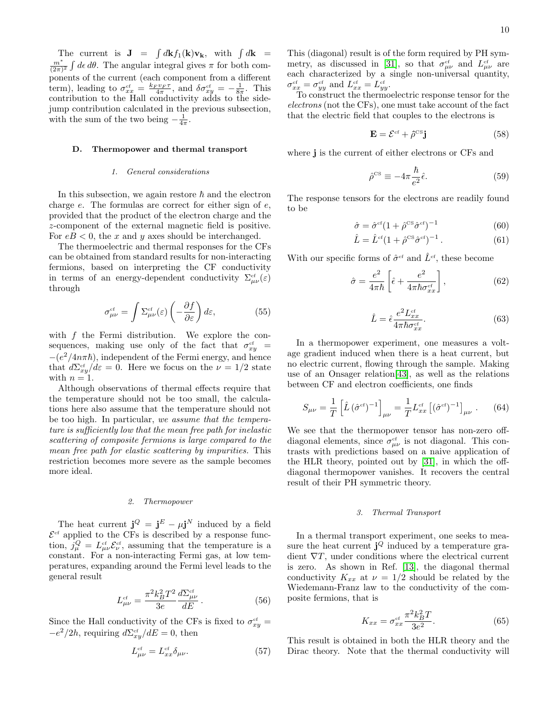The current is  $J = \int d\mathbf{k} f_1(\mathbf{k}) \mathbf{v}_\mathbf{k}$ , with  $\int d\mathbf{k} =$  $\frac{m^*}{(2\pi)^2}$   $\int d\epsilon d\theta$ . The angular integral gives  $\pi$  for both components of the current (each component from a different term), leading to  $\sigma_{xx}^{\text{cf}} = \frac{k_F v_F \tau}{4\pi}$ , and  $\delta \sigma_{xy}^{\text{cf}} = -\frac{1}{8\pi}$ . This contribution to the Hall conductivity adds to the sidejump contribution calculated in the previous subsection, with the sum of the two being  $-\frac{1}{4\pi}$ .

### <span id="page-9-0"></span>D. Thermopower and thermal transport

#### <span id="page-9-1"></span>1. General considerations

In this subsection, we again restore  $\hbar$  and the electron charge  $e$ . The formulas are correct for either sign of  $e$ , provided that the product of the electron charge and the z-component of the external magnetic field is positive. For  $eB < 0$ , the x and y axes should be interchanged.

The thermoelectric and thermal responses for the CFs can be obtained from standard results for non-interacting fermions, based on interpreting the CF conductivity in terms of an energy-dependent conductivity  $\Sigma_{\mu\nu}^{\text{cf}}(\varepsilon)$ through

$$
\sigma_{\mu\nu}^{\text{cf}} = \int \Sigma_{\mu\nu}^{\text{cf}}(\varepsilon) \left( -\frac{\partial f}{\partial \varepsilon} \right) d\varepsilon, \tag{55}
$$

with  $f$  the Fermi distribution. We explore the consequences, making use only of the fact that  $\sigma_{xy}^{cf}$  =  $-(e^2/4n\pi\hbar)$ , independent of the Fermi energy, and hence that  $d\Sigma_{xy}^{\text{cf}}/d\varepsilon = 0$ . Here we focus on the  $\nu = 1/2$  state with  $n = 1$ .

Although observations of thermal effects require that the temperature should not be too small, the calculations here also assume that the temperature should not be too high. In particular, we assume that the temperature is sufficiently low that the mean free path for inelastic scattering of composite fermions is large compared to the mean free path for elastic scattering by impurities. This restriction becomes more severe as the sample becomes more ideal.

#### <span id="page-9-2"></span>2. Thermopower

The heat current  $\mathbf{j}^Q = \mathbf{j}^E - \mu \mathbf{j}^N$  induced by a field  $\mathcal{E}^{\scriptscriptstyle{\text{cf}}}$  applied to the CFs is described by a response function,  $j_{\mu}^{Q} = L_{\mu\nu}^{\text{cf}} \mathcal{E}_{\nu}^{\text{cf}}$ , assuming that the temperature is a constant. For a non-interacting Fermi gas, at low temperatures, expanding around the Fermi level leads to the general result

$$
L_{\mu\nu}^{\text{cf}} = \frac{\pi^2 k_B^2 T^2}{3e} \frac{d\Sigma_{\mu\nu}^{\text{cf}}}{dE} \,. \tag{56}
$$

Since the Hall conductivity of the CFs is fixed to  $\sigma_{xy}^{\text{cf}} =$  $-e^2/2h$ , requiring  $d\Sigma_{xy}^{\text{cf}}/dE = 0$ , then

$$
L_{\mu\nu}^{\text{cf}} = L_{xx}^{\text{cf}} \delta_{\mu\nu}.
$$
 (57)

This (diagonal) result is of the form required by PH sym-metry, as discussed in [\[31\]](#page-19-19), so that  $\sigma_{\mu\nu}^{\text{cf}}$  and  $L_{\mu\nu}^{\text{cf}}$  are each characterized by a single non-universal quantity,  $\sigma_{xx}^{\scriptscriptstyle \rm cf}=\sigma_{yy}^{\scriptscriptstyle \rm cf}$  and  $L_{xx}^{\scriptscriptstyle \rm cf}=L_{yy}^{\scriptscriptstyle \rm cf}$ .

To construct the thermoelectric response tensor for the electrons (not the CFs), one must take account of the fact that the electric field that couples to the electrons is

$$
\mathbf{E} = \mathcal{E}^{\text{cf}} + \hat{\rho}^{\text{CS}} \mathbf{j} \tag{58}
$$

where *i* is the current of either electrons or CFs and

$$
\hat{\rho}^{\text{CS}} \equiv -4\pi \frac{\hbar}{e^2} \hat{\epsilon}.\tag{59}
$$

The response tensors for the electrons are readily found to be

$$
\hat{\sigma} = \hat{\sigma}^{\text{cf}} (1 + \hat{\rho}^{\text{CS}} \hat{\sigma}^{\text{cf}})^{-1}
$$
\n(60)

$$
\hat{L} = \hat{L}^{\text{cf}} (1 + \hat{\rho}^{\text{CS}} \hat{\sigma}^{\text{cf}})^{-1} . \tag{61}
$$

With our specific forms of  $\hat{\sigma}^{\text{cf}}$  and  $\hat{L}^{\text{cf}}$ , these become

$$
\hat{\sigma} = \frac{e^2}{4\pi\hbar} \left[ \hat{\epsilon} + \frac{e^2}{4\pi\hbar\sigma_{xx}^{\text{cf}}} \right],\tag{62}
$$

$$
\hat{L} = \hat{\epsilon} \frac{e^2 L_{xx}^{\text{cf}}}{4\pi \hbar \sigma_{xx}^{\text{cf}}}.
$$
\n(63)

In a thermopower experiment, one measures a voltage gradient induced when there is a heat current, but no electric current, flowing through the sample. Making use of an Onsager relation[\[43\]](#page-20-6), as well as the relations between CF and electron coefficients, one finds

$$
S_{\mu\nu} = \frac{1}{T} \left[ \hat{L} \left( \hat{\sigma}^{\text{cf}} \right)^{-1} \right]_{\mu\nu} = \frac{1}{T} L_{xx}^{\text{cf}} \left[ \left( \hat{\sigma}^{\text{cf}} \right)^{-1} \right]_{\mu\nu} . \tag{64}
$$

We see that the thermopower tensor has non-zero offdiagonal elements, since  $\sigma_{\mu\nu}^{\text{cf}}$  is not diagonal. This contrasts with predictions based on a naive application of the HLR theory, pointed out by [\[31\]](#page-19-19), in which the offdiagonal thermopower vanishes. It recovers the central result of their PH symmetric theory.

## <span id="page-9-3"></span>3. Thermal Transport

In a thermal transport experiment, one seeks to measure the heat current  $j^Q$  induced by a temperature gradient  $\nabla T$ , under conditions where the electrical current is zero. As shown in Ref. [\[13\]](#page-19-24), the diagonal thermal conductivity  $K_{xx}$  at  $\nu = 1/2$  should be related by the Wiedemann-Franz law to the conductivity of the composite fermions, that is

$$
K_{xx} = \sigma_{xx}^{cf} \frac{\pi^2 k_B^2 T}{3e^2}.
$$
 (65)

This result is obtained in both the HLR theory and the Dirac theory. Note that the thermal conductivity will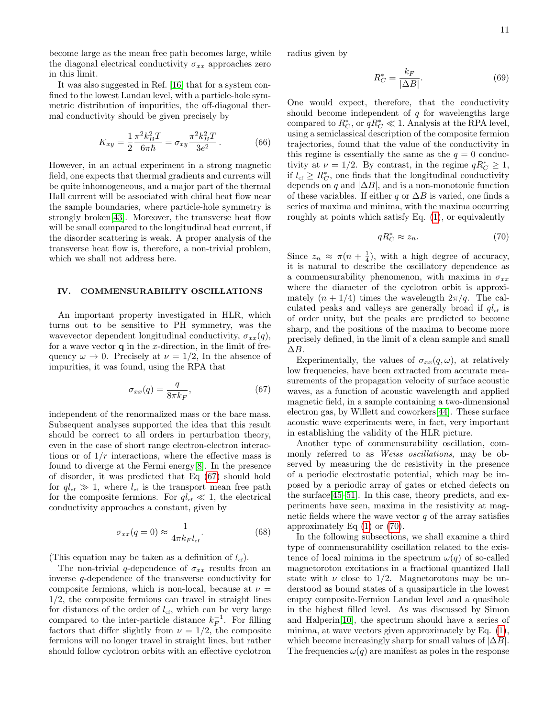become large as the mean free path becomes large, while the diagonal electrical conductivity  $\sigma_{xx}$  approaches zero in this limit.

It was also suggested in Ref. [\[16\]](#page-19-6) that for a system confined to the lowest Landau level, with a particle-hole symmetric distribution of impurities, the off-diagonal thermal conductivity should be given precisely by

$$
K_{xy} = \frac{1}{2} \frac{\pi^2 k_B^2 T}{6\pi \hbar} = \sigma_{xy} \frac{\pi^2 k_B^2 T}{3e^2} \,. \tag{66}
$$

However, in an actual experiment in a strong magnetic field, one expects that thermal gradients and currents will be quite inhomogeneous, and a major part of the thermal Hall current will be associated with chiral heat flow near the sample boundaries, where particle-hole symmetry is strongly broken[\[43\]](#page-20-6). Moreover, the transverse heat flow will be small compared to the longitudinal heat current, if the disorder scattering is weak. A proper analysis of the transverse heat flow is, therefore, a non-trivial problem, which we shall not address here.

### <span id="page-10-0"></span>IV. COMMENSURABILITY OSCILLATIONS

An important property investigated in HLR, which turns out to be sensitive to PH symmetry, was the wavevector dependent longitudinal conductivity,  $\sigma_{xx}(q)$ , for a wave vector  $q$  in the x-direction, in the limit of frequency  $\omega \to 0$ . Precisely at  $\nu = 1/2$ , In the absence of impurities, it was found, using the RPA that

<span id="page-10-1"></span>
$$
\sigma_{xx}(q) = \frac{q}{8\pi k_F},\tag{67}
$$

independent of the renormalized mass or the bare mass. Subsequent analyses supported the idea that this result should be correct to all orders in perturbation theory, even in the case of short range electron-electron interactions or of  $1/r$  interactions, where the effective mass is found to diverge at the Fermi energy[\[8\]](#page-19-21). In the presence of disorder, it was predicted that Eq [\(67\)](#page-10-1) should hold for  $q l_{\rm cf} \gg 1$ , where  $l_{\rm cf}$  is the transport mean free path for the composite fermions. For  $q l_{\text{cf}} \ll 1$ , the electrical conductivity approaches a constant, given by

$$
\sigma_{xx}(q=0) \approx \frac{1}{4\pi k_F l_{\rm cf}}.\tag{68}
$$

(This equation may be taken as a definition of  $l_{cf}$ ).

The non-trivial q-dependence of  $\sigma_{xx}$  results from an inverse  $q$ -dependence of the transverse conductivity for composite fermions, which is non-local, because at  $\nu =$ 1/2, the composite fermions can travel in straight lines for distances of the order of  $l_{cf}$ , which can be very large compared to the inter-particle distance  $k_F^{-1}$ . For filling factors that differ slightly from  $\nu = 1/2$ , the composite fermions will no longer travel in straight lines, but rather should follow cyclotron orbits with an effective cyclotron

radius given by

$$
R_C^* = \frac{k_F}{|\Delta B|}.\tag{69}
$$

One would expect, therefore, that the conductivity should become independent of  $q$  for wavelengths large compared to  $R_C^*$ , or  $qR_C^* \ll 1$ . Analysis at the RPA level, using a semiclassical description of the composite fermion trajectories, found that the value of the conductivity in this regime is essentially the same as the  $q = 0$  conductivity at  $\nu = 1/2$ . By contrast, in the regime  $qR_C^* \ge 1$ , if  $l_{\text{cf}} \geq R_C^*$ , one finds that the longitudinal conductivity depends on q and  $|\Delta B|$ , and is a non-monotonic function of these variables. If either q or  $\Delta B$  is varied, one finds a series of maxima and minima, with the maxima occurring roughly at points which satisfy Eq. [\(1\)](#page-1-0), or equivalently

<span id="page-10-2"></span>
$$
qR_C^* \approx z_n. \tag{70}
$$

Since  $z_n \approx \pi (n + \frac{1}{4})$ , with a high degree of accuracy, it is natural to describe the oscillatory dependence as a commensurability phenomenon, with maxima in  $\sigma_{xx}$ where the diameter of the cyclotron orbit is approximately  $(n + 1/4)$  times the wavelength  $2\pi/q$ . The calculated peaks and valleys are generally broad if  $q_{cf}$  is of order unity, but the peaks are predicted to become sharp, and the positions of the maxima to become more precisely defined, in the limit of a clean sample and small  $\Delta B$ .

Experimentally, the values of  $\sigma_{xx}(q,\omega)$ , at relatively low frequencies, have been extracted from accurate measurements of the propagation velocity of surface acoustic waves, as a function of acoustic wavelength and applied magnetic field, in a sample containing a two-dimensional electron gas, by Willett and coworkers[\[44\]](#page-20-7). These surface acoustic wave experiments were, in fact, very important in establishing the validity of the HLR picture.

Another type of commensurability oscillation, commonly referred to as *Weiss oscillations*, may be observed by measuring the dc resistivity in the presence of a periodic electrostatic potential, which may be imposed by a periodic array of gates or etched defects on the surface[\[45](#page-20-8)[–51\]](#page-20-9). In this case, theory predicts, and experiments have seen, maxima in the resistivity at magnetic fields where the wave vector  $q$  of the array satisfies approximately Eq [\(1\)](#page-1-0) or [\(70\)](#page-10-2).

In the following subsections, we shall examine a third type of commensurability oscillation related to the existence of local minima in the spectrum  $\omega(q)$  of so-called magnetoroton excitations in a fractional quantized Hall state with  $\nu$  close to 1/2. Magnetorotons may be understood as bound states of a quasiparticle in the lowest empty composite-Fermion Landau level and a quasihole in the highest filled level. As was discussed by Simon and Halperin[\[10\]](#page-19-20), the spectrum should have a series of minima, at wave vectors given approximately by Eq. [\(1\)](#page-1-0), which become increasingly sharp for small values of  $|\Delta B|$ . The frequencies  $\omega(q)$  are manifest as poles in the response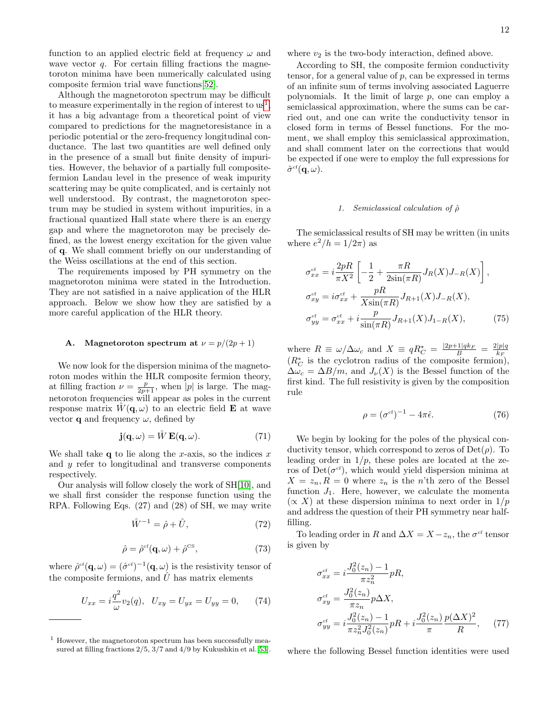function to an applied electric field at frequency  $\omega$  and wave vector  $q$ . For certain filling fractions the magnetoroton minima have been numerically calculated using composite fermion trial wave functions[\[52\]](#page-20-10).

Although the magnetoroton spectrum may be difficult to measure experimentally in the region of interest to  $us<sup>1</sup>$  $us<sup>1</sup>$  $us<sup>1</sup>$ , it has a big advantage from a theoretical point of view compared to predictions for the magnetoresistance in a periodic potential or the zero-frequency longitudinal conductance. The last two quantities are well defined only in the presence of a small but finite density of impurities. However, the behavior of a partially full compositefermion Landau level in the presence of weak impurity scattering may be quite complicated, and is certainly not well understood. By contrast, the magnetoroton spectrum may be studied in system without impurities, in a fractional quantized Hall state where there is an energy gap and where the magnetoroton may be precisely defined, as the lowest energy excitation for the given value of q. We shall comment briefly on our understanding of the Weiss oscillations at the end of this section.

The requirements imposed by PH symmetry on the magnetoroton minima were stated in the Introduction. They are not satisfied in a naive application of the HLR approach. Below we show how they are satisfied by a more careful application of the HLR theory.

## <span id="page-11-0"></span>A. Magnetoroton spectrum at  $\nu = p/(2p+1)$

We now look for the dispersion minima of the magnetoroton modes within the HLR composite fermion theory, at filling fraction  $\nu = \frac{p}{2p+1}$ , when  $|p|$  is large. The magnetoroton frequencies will appear as poles in the current response matrix  $W(\mathbf{q}, \omega)$  to an electric field **E** at wave vector **q** and frequency  $\omega$ , defined by

$$
\mathbf{j}(\mathbf{q},\omega) = \hat{W}\,\mathbf{E}(\mathbf{q},\omega). \tag{71}
$$

We shall take  $q$  to lie along the x-axis, so the indices x and y refer to longitudinal and transverse components respectively.

Our analysis will follow closely the work of SH[\[10\]](#page-19-20), and we shall first consider the response function using the RPA. Following Eqs. (27) and (28) of SH, we may write

<span id="page-11-4"></span>
$$
\hat{W}^{-1} = \hat{\rho} + \hat{U},\tag{72}
$$

$$
\hat{\rho} = \hat{\rho}^{\rm cf}(\mathbf{q}, \omega) + \hat{\rho}^{\rm CS},\tag{73}
$$

where  $\hat{\rho}^{\text{cf}}(\mathbf{q},\omega) = (\hat{\sigma}^{\text{cf}})^{-1}(\mathbf{q},\omega)$  is the resistivity tensor of the composite fermions, and  $\hat{U}$  has matrix elements

$$
U_{xx} = i\frac{q^2}{\omega}v_2(q), \quad U_{xy} = U_{yx} = U_{yy} = 0,\tag{74}
$$

where  $v_2$  is the two-body interaction, defined above.

According to SH, the composite fermion conductivity tensor, for a general value of  $p$ , can be expressed in terms of an infinite sum of terms involving associated Laguerre polynomials. It the limit of large p, one can employ a semiclassical approximation, where the sums can be carried out, and one can write the conductivity tensor in closed form in terms of Bessel functions. For the moment, we shall employ this semiclassical approximation, and shall comment later on the corrections that would be expected if one were to employ the full expressions for  $\hat{\sigma}^{\scriptscriptstyle \mathrm{cf}}(\mathbf{q},\omega).$ 

## <span id="page-11-1"></span>1. Semiclassical calculation of  $\hat{\rho}$

The semiclassical results of SH may be written (in units where  $e^2/h = 1/2\pi$  as

$$
\sigma_{xx}^{\text{cf}} = i \frac{2pR}{\pi X^2} \left[ -\frac{1}{2} + \frac{\pi R}{2\sin(\pi R)} J_R(X) J_{-R}(X) \right],
$$
  
\n
$$
\sigma_{xy}^{\text{cf}} = i \sigma_{xx}^{\text{cf}} + \frac{pR}{X \sin(\pi R)} J_{R+1}(X) J_{-R}(X),
$$
  
\n
$$
\sigma_{yy}^{\text{cf}} = \sigma_{xx}^{\text{cf}} + i \frac{p}{\sin(\pi R)} J_{R+1}(X) J_{1-R}(X),
$$
\n(75)

where  $R \equiv \omega/\Delta\omega_c$  and  $X \equiv qR_C^* = \frac{|2p+1|qk_F}{B} = \frac{2|p|q}{k_F}$  $k_F$  $(R_C^*$  is the cyclotron radius of the composite fermion),  $\Delta\omega_c = \Delta B/m$ , and  $J_{\nu}(X)$  is the Bessel function of the first kind. The full resistivity is given by the composition rule

$$
\rho = (\sigma^{\text{cf}})^{-1} - 4\pi \hat{\epsilon}.\tag{76}
$$

We begin by looking for the poles of the physical conductivity tensor, which correspond to zeros of  $Det(\rho)$ . To leading order in  $1/p$ , these poles are located at the zeros of  $Det(\sigma^{cf})$ , which would yield dispersion minima at  $X = z_n, R = 0$  where  $z_n$  is the n'th zero of the Bessel function  $J_1$ . Here, however, we calculate the momenta  $(\propto X)$  at these dispersion minima to next order in  $1/p$ and address the question of their PH symmetry near halffilling.

To leading order in R and  $\Delta X = X - z_n$ , the  $\sigma^{\text{cf}}$  tensor is given by

<span id="page-11-3"></span>
$$
\sigma_{xx}^{\text{cf}} = i \frac{J_0^2(z_n) - 1}{\pi z_n^2} pR,
$$
\n
$$
\sigma_{xy}^{\text{cf}} = \frac{J_0^2(z_n)}{\pi z_n} p\Delta X,
$$
\n
$$
\sigma_{yy}^{\text{cf}} = i \frac{J_0^2(z_n) - 1}{\pi z_n^2 J_0^2(z_n)} pR + i \frac{J_0^2(z_n)}{\pi} \frac{p(\Delta X)^2}{R}, \quad (77)
$$

where the following Bessel function identities were used

<span id="page-11-2"></span><sup>&</sup>lt;sup>1</sup> However, the magnetoroton spectrum has been successfully measured at filling fractions  $2/5$ ,  $3/7$  and  $4/9$  by Kukushkin et al. [\[53\]](#page-20-11).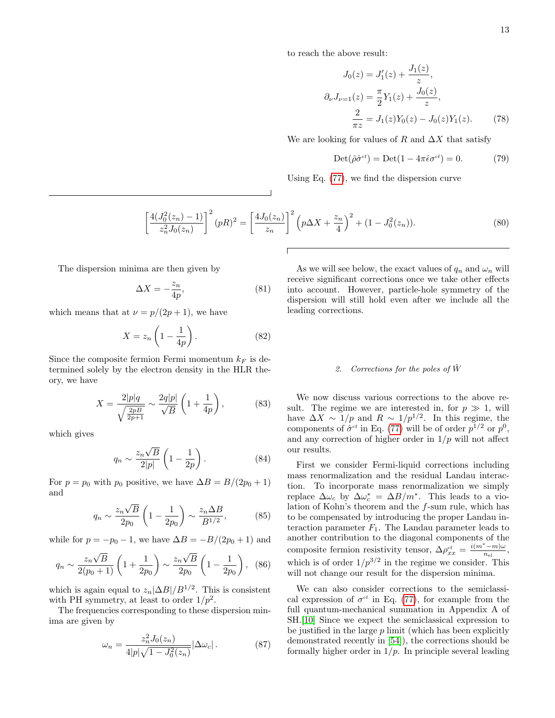to reach the above result:

$$
J_0(z) = J'_1(z) + \frac{J_1(z)}{z},
$$
  
\n
$$
\partial_{\nu} J_{\nu=1}(z) = \frac{\pi}{2} Y_1(z) + \frac{J_0(z)}{z},
$$
  
\n
$$
\frac{2}{\pi z} = J_1(z) Y_0(z) - J_0(z) Y_1(z).
$$
 (78)

We are looking for values of R and  $\Delta X$  that satisfy

<span id="page-12-3"></span>
$$
Det(\hat{\rho}\hat{\sigma}^{\text{cf}}) = Det(1 - 4\pi \hat{\epsilon}\sigma^{\text{cf}}) = 0.
$$
 (79)

Using Eq. [\(77\)](#page-11-3), we find the dispersion curve

<span id="page-12-1"></span>
$$
\left[\frac{4(J_0^2(z_n)-1)}{z_n^2 J_0(z_n)}\right]^2 (pR)^2 = \left[\frac{4J_0(z_n)}{z_n}\right]^2 \left(p\Delta X + \frac{z_n}{4}\right)^2 + (1-J_0^2(z_n)).\tag{80}
$$

The dispersion minima are then given by

$$
\Delta X = -\frac{z_n}{4p},\tag{81}
$$

which means that at  $\nu = p/(2p + 1)$ , we have

$$
X = z_n \left( 1 - \frac{1}{4p} \right). \tag{82}
$$

Since the composite fermion Fermi momentum  $k_F$  is determined solely by the electron density in the HLR theory, we have

$$
X = \frac{2|p|q}{\sqrt{\frac{2pB}{2p+1}}} \sim \frac{2q|p|}{\sqrt{B}} \left( 1 + \frac{1}{4p} \right),
$$
 (83)

which gives

$$
q_n \sim \frac{z_n \sqrt{B}}{2|p|} \left(1 - \frac{1}{2p}\right). \tag{84}
$$

For  $p = p_0$  with  $p_0$  positive, we have  $\Delta B = B/(2p_0 + 1)$ and

$$
q_n \sim \frac{z_n \sqrt{B}}{2p_0} \left( 1 - \frac{1}{2p_0} \right) \sim \frac{z_n \Delta B}{B^{1/2}},\tag{85}
$$

while for  $p = -p_0 - 1$ , we have  $\Delta B = -B/(2p_0 + 1)$  and

$$
q_n \sim \frac{z_n \sqrt{B}}{2(p_0 + 1)} \left( 1 + \frac{1}{2p_0} \right) \sim \frac{z_n \sqrt{B}}{2p_0} \left( 1 - \frac{1}{2p_0} \right), \quad (86)
$$

which is again equal to  $z_n|\Delta B|/B^{1/2}$ . This is consistent with PH symmetry, at least to order  $1/p^2$ .

The frequencies corresponding to these dispersion minima are given by

<span id="page-12-2"></span>
$$
\omega_n = \frac{z_n^2 J_0(z_n)}{4|p|\sqrt{1 - J_0^2(z_n)}} |\Delta \omega_c| \,. \tag{87}
$$

As we will see below, the exact values of  $q_n$  and  $\omega_n$  will receive significant corrections once we take other effects into account. However, particle-hole symmetry of the dispersion will still hold even after we include all the leading corrections.

## <span id="page-12-0"></span>2. Corrections for the poles of  $\hat{W}$

We now discuss various corrections to the above result. The regime we are interested in, for  $p \gg 1$ , will have  $\Delta X \sim 1/p$  and  $R \sim 1/p^{1/2}$ . In this regime, the components of  $\hat{\sigma}^{cf}$  in Eq. [\(77\)](#page-11-3) will be of order  $p^{1/2}$  or  $p^0$ , and any correction of higher order in  $1/p$  will not affect our results.

First we consider Fermi-liquid corrections including mass renormalization and the residual Landau interaction. To incorporate mass renormalization we simply replace  $\Delta\omega_c$  by  $\Delta\omega_c^* = \Delta B/m^*$ . This leads to a violation of Kohn's theorem and the f-sum rule, which has to be compensated by introducing the proper Landau interaction parameter  $F_1$ . The Landau parameter leads to another contribution to the diagonal components of the composite fermion resistivity tensor,  $\Delta \rho_{xx}^{cf} = \frac{i(m^* - m)\omega_{xx}}{n_{el}}$  $\frac{(-m)\omega}{n_{\rm el}},$ which is of order  $1/p^{3/2}$  in the regime we consider. This will not change our result for the dispersion minima.

We can also consider corrections to the semiclassical expression of  $\sigma^{\rm cf}$  in Eq. [\(77\)](#page-11-3), for example from the full quantum-mechanical summation in Appendix A of SH.[\[10\]](#page-19-20) Since we expect the semiclassical expression to be justified in the large  $p$  limit (which has been explicitly demonstrated recently in [\[54\]](#page-20-12)), the corrections should be formally higher order in  $1/p$ . In principle several leading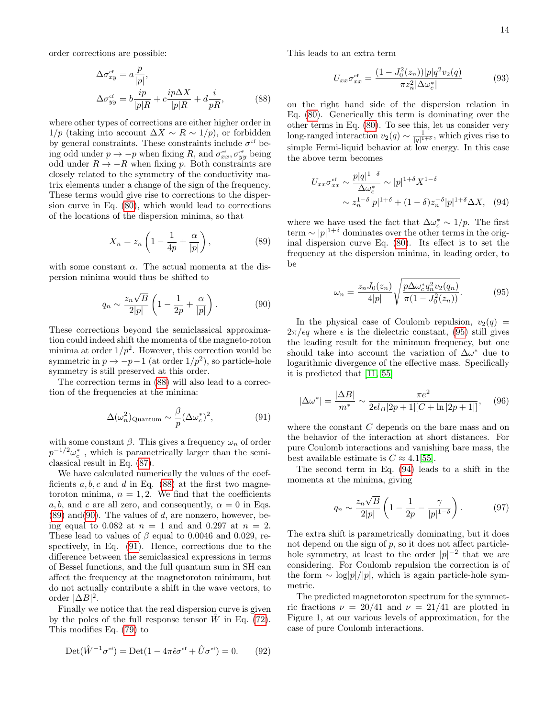order corrections are possible:

<span id="page-13-0"></span>
$$
\Delta \sigma_{xy}^{\text{cf}} = a \frac{p}{|p|},
$$
  
\n
$$
\Delta \sigma_{yy}^{\text{cf}} = b \frac{ip}{|p|R} + c \frac{ip\Delta X}{|p|R} + d \frac{i}{pR},
$$
\n(88)

where other types of corrections are either higher order in  $1/p$  (taking into account  $\Delta X \sim R \sim 1/p$ ), or forbidden by general constraints. These constraints include  $\sigma^{\rm cf}$  being odd under  $p \to -p$  when fixing R, and  $\sigma_{xx}^{\text{cf}}, \sigma_{yy}^{\text{cf}}$  being odd under  $R \to -R$  when fixing p. Both constraints are closely related to the symmetry of the conductivity matrix elements under a change of the sign of the frequency. These terms would give rise to corrections to the dispersion curve in Eq. [\(80\)](#page-12-1), which would lead to corrections of the locations of the dispersion minima, so that

<span id="page-13-1"></span>
$$
X_n = z_n \left( 1 - \frac{1}{4p} + \frac{\alpha}{|p|} \right),\tag{89}
$$

with some constant  $\alpha$ . The actual momenta at the dispersion minima would thus be shifted to

<span id="page-13-2"></span>
$$
q_n \sim \frac{z_n \sqrt{B}}{2|p|} \left( 1 - \frac{1}{2p} + \frac{\alpha}{|p|} \right). \tag{90}
$$

These corrections beyond the semiclassical approximation could indeed shift the momenta of the magneto-roton minima at order  $1/p^2$ . However, this correction would be symmetric in  $p \to -p-1$  (at order  $1/p^2$ ), so particle-hole symmetry is still preserved at this order.

The correction terms in [\(88\)](#page-13-0) will also lead to a correction of the frequencies at the minima:

<span id="page-13-3"></span>
$$
\Delta(\omega_n^2)_{\text{Quantum}} \sim \frac{\beta}{p} (\Delta \omega_c^*)^2,\tag{91}
$$

with some constant  $\beta$ . This gives a frequency  $\omega_n$  of order  $p^{-1/2}\omega_c^*$ , which is parametrically larger than the semiclassical result in Eq. [\(87\)](#page-12-2).

We have calculated numerically the values of the coefficients  $a, b, c$  and  $d$  in Eq. [\(88\)](#page-13-0) at the first two magnetoroton minima,  $n = 1, 2$ . We find that the coefficients a, b, and c are all zero, and consequently,  $\alpha = 0$  in Eqs.  $(89)$  and  $(90)$ . The values of d, are nonzero, however, being equal to 0.082 at  $n = 1$  and and 0.297 at  $n = 2$ . These lead to values of  $\beta$  equal to 0.0046 and 0.029, respectively, in Eq. [\(91\)](#page-13-3). Hence, corrections due to the difference between the semiclassical expressions in terms of Bessel functions, and the full quantum sum in SH can affect the frequency at the magnetoroton minimum, but do not actually contribute a shift in the wave vectors, to order  $|\Delta B|^2$ .

Finally we notice that the real dispersion curve is given by the poles of the full response tensor  $\hat{W}$  in Eq. [\(72\)](#page-11-4). This modifies Eq. [\(79\)](#page-12-3) to

$$
Det(\hat{W}^{-1}\sigma^{\rm cf}) = Det(1 - 4\pi \hat{\epsilon} \sigma^{\rm cf} + \hat{U} \sigma^{\rm cf}) = 0.
$$
 (92)

This leads to an extra term

$$
U_{xx}\sigma_{xx}^{\text{cf}} = \frac{(1 - J_0^2(z_n))|p|q^2v_2(q)}{\pi z_n^2|\Delta \omega_c^*|}
$$
(93)

on the right hand side of the dispersion relation in Eq. [\(80\)](#page-12-1). Generically this term is dominating over the other terms in Eq. [\(80\)](#page-12-1). To see this, let us consider very long-ranged interaction  $v_2(q) \sim \frac{1}{|q|^{1+\delta}}$ , which gives rise to simple Fermi-liquid behavior at low energy. In this case the above term becomes

<span id="page-13-5"></span>
$$
U_{xx}\sigma_{xx}^{cf} \sim \frac{p|q|^{1-\delta}}{\Delta\omega_c^*} \sim |p|^{1+\delta} X^{1-\delta}
$$

$$
\sim z_n^{1-\delta} |p|^{1+\delta} + (1-\delta) z_n^{-\delta} |p|^{1+\delta} \Delta X, \quad (94)
$$

where we have used the fact that  $\Delta \omega_c^* \sim 1/p$ . The first term  $\sim |p|^{1+\delta}$  dominates over the other terms in the original dispersion curve Eq. [\(80\)](#page-12-1). Its effect is to set the frequency at the dispersion minima, in leading order, to be

<span id="page-13-4"></span>
$$
\omega_n = \frac{z_n J_0(z_n)}{4|p|} \sqrt{\frac{p \Delta \omega_c^* q_n^2 v_2(q_n)}{\pi (1 - J_0^2(z_n))}}.\tag{95}
$$

In the physical case of Coulomb repulsion,  $v_2(q)$  =  $2\pi$ / $\epsilon q$  where  $\epsilon$  is the dielectric constant, [\(95\)](#page-13-4) still gives the leading result for the minimum frequency, but one should take into account the variation of  $\Delta\omega^*$  due to logarithmic divergence of the effective mass. Specifically it is predicted that [\[11,](#page-19-4) [55\]](#page-20-13)

<span id="page-13-6"></span>
$$
|\Delta \omega^*| = \frac{|\Delta B|}{m^*} \sim \frac{\pi e^2}{2\epsilon l_B |2p+1| [C + \ln|2p+1|]}, \quad (96)
$$

where the constant  $C$  depends on the bare mass and on the behavior of the interaction at short distances. For pure Coulomb interactions and vanishing bare mass, the best available estimate is  $C \approx 4.1$ [\[55\]](#page-20-13).

The second term in Eq. [\(94\)](#page-13-5) leads to a shift in the momenta at the minima, giving

$$
q_n \sim \frac{z_n \sqrt{B}}{2|p|} \left( 1 - \frac{1}{2p} - \frac{\gamma}{|p|^{1-\delta}} \right). \tag{97}
$$

The extra shift is parametrically dominating, but it does not depend on the sign of  $p$ , so it does not affect particlehole symmetry, at least to the order  $|p|^{-2}$  that we are considering. For Coulomb repulsion the correction is of the form  $\sim \log|p|/|p|$ , which is again particle-hole symmetric.

The predicted magnetoroton spectrum for the symmetric fractions  $\nu = 20/41$  and  $\nu = 21/41$  are plotted in Figure 1, at our various levels of approximation, for the case of pure Coulomb interactions.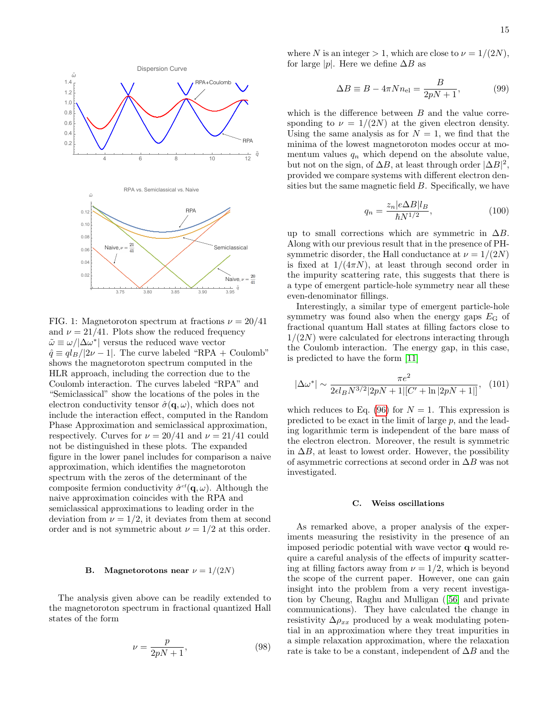

FIG. 1: Magnetoroton spectrum at fractions  $\nu = 20/41$ and  $\nu = 21/41$ . Plots show the reduced frequency  $\tilde{\omega} \equiv \omega / |\Delta \omega^*|$  versus the reduced wave vector  $\hat{q} \equiv q l_B/|2\nu - 1|$ . The curve labeled "RPA + Coulomb" shows the magnetoroton spectrum computed in the HLR approach, including the correction due to the Coulomb interaction. The curves labeled "RPA" and "Semiclassical" show the locations of the poles in the electron conductivity tensor  $\hat{\sigma}(\mathbf{q}, \omega)$ , which does not include the interaction effect, computed in the Random Phase Approximation and semiclassical approximation, respectively. Curves for  $\nu = 20/41$  and  $\nu = 21/41$  could not be distinguished in these plots. The expanded figure in the lower panel includes for comparison a naive approximation, which identifies the magnetoroton spectrum with the zeros of the determinant of the composite fermion conductivity  $\hat{\sigma}^{\text{cf}}(\mathbf{q},\omega)$ . Although the naive approximation coincides with the RPA and semiclassical approximations to leading order in the deviation from  $\nu = 1/2$ , it deviates from them at second order and is not symmetric about  $\nu = 1/2$  at this order.

#### <span id="page-14-0"></span>B. Magnetorotons near  $\nu = 1/(2N)$

The analysis given above can be readily extended to the magnetoroton spectrum in fractional quantized Hall states of the form

$$
\nu = \frac{p}{2pN+1},\tag{98}
$$

where N is an integer  $> 1$ , which are close to  $\nu = 1/(2N)$ , for large |p|. Here we define  $\Delta B$  as

$$
\Delta B \equiv B - 4\pi N n_{\rm el} = \frac{B}{2pN + 1},\tag{99}
$$

which is the difference between  $B$  and the value corresponding to  $\nu = 1/(2N)$  at the given electron density. Using the same analysis as for  $N = 1$ , we find that the minima of the lowest magnetoroton modes occur at momentum values  $q_n$  which depend on the absolute value, but not on the sign, of  $\Delta B$ , at least through order  $|\Delta B|^2$ , provided we compare systems with different electron densities but the same magnetic field B. Specifically, we have

$$
q_n = \frac{z_n |e\Delta B| l_B}{\hbar N^{1/2}},\tag{100}
$$

up to small corrections which are symmetric in  $\Delta B$ . Along with our previous result that in the presence of PHsymmetric disorder, the Hall conductance at  $\nu = 1/(2N)$ is fixed at  $1/(4\pi N)$ , at least through second order in the impurity scattering rate, this suggests that there is a type of emergent particle-hole symmetry near all these even-denominator fillings.

Interestingly, a similar type of emergent particle-hole symmetry was found also when the energy gaps  $E_G$  of fractional quantum Hall states at filling factors close to  $1/(2N)$  were calculated for electrons interacting through the Coulomb interaction. The energy gap, in this case, is predicted to have the form [\[11\]](#page-19-4)

$$
|\Delta\omega^*| \sim \frac{\pi e^2}{2\epsilon l_B N^{3/2} |2pN+1|[C'+\ln|2pN+1|]}, \quad (101)
$$

which reduces to Eq. [\(96\)](#page-13-6) for  $N = 1$ . This expression is predicted to be exact in the limit of large  $p$ , and the leading logarithmic term is independent of the bare mass of the electron electron. Moreover, the result is symmetric in  $\Delta B$ , at least to lowest order. However, the possibility of asymmetric corrections at second order in ∆B was not investigated.

### <span id="page-14-1"></span>C. Weiss oscillations

As remarked above, a proper analysis of the experiments measuring the resistivity in the presence of an imposed periodic potential with wave vector q would require a careful analysis of the effects of impurity scattering at filling factors away from  $\nu = 1/2$ , which is beyond the scope of the current paper. However, one can gain insight into the problem from a very recent investigation by Cheung, Raghu and Mulligan ([\[56\]](#page-20-14) and private communications). They have calculated the change in resistivity  $\Delta \rho_{xx}$  produced by a weak modulating potential in an approximation where they treat impurities in a simple relaxation approximation, where the relaxation rate is take to be a constant, independent of  $\Delta B$  and the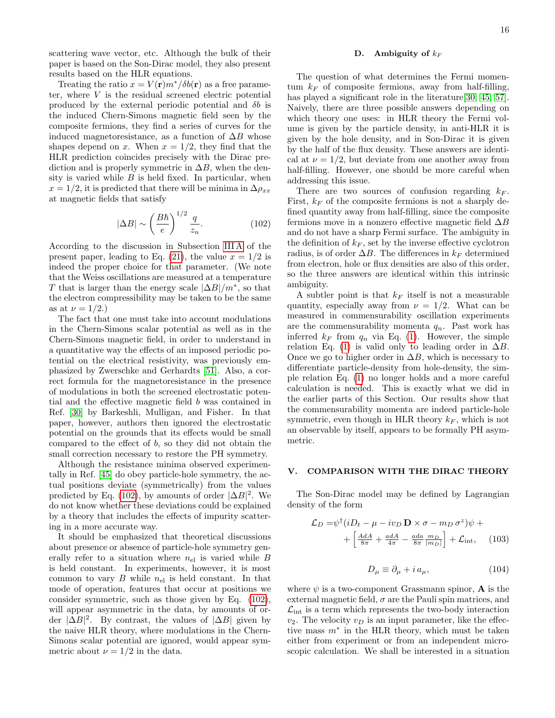scattering wave vector, etc. Although the bulk of their paper is based on the Son-Dirac model, they also present results based on the HLR equations.

Treating the ratio  $x = V(\mathbf{r})m^*/\delta b(\mathbf{r})$  as a free parameter, where V is the residual screened electric potential produced by the external periodic potential and  $\delta b$  is the induced Chern-Simons magnetic field seen by the composite fermions, they find a series of curves for the induced magnetoresistance, as a function of  $\Delta B$  whose shapes depend on x. When  $x = 1/2$ , they find that the HLR prediction coincides precisely with the Dirac prediction and is properly symmetric in  $\Delta B$ , when the density is varied while  $B$  is held fixed. In particular, when  $x = 1/2$ , it is predicted that there will be minima in  $\Delta \rho_{xx}$ at magnetic fields that satisfy

<span id="page-15-2"></span>
$$
|\Delta B| \sim \left(\frac{B\hbar}{e}\right)^{1/2} \frac{q}{z_n}.\tag{102}
$$

According to the discussion in Subsection [III A](#page-5-0) of the present paper, leading to Eq. [\(21\)](#page-5-1), the value  $x = 1/2$  is indeed the proper choice for that parameter. (We note that the Weiss oscillations are measured at a temperature T that is larger than the energy scale  $|\Delta B|/m^*$ , so that the electron compressibility may be taken to be the same as at  $\nu = 1/2.$ )

The fact that one must take into account modulations in the Chern-Simons scalar potential as well as in the Chern-Simons magnetic field, in order to understand in a quantitative way the effects of an imposed periodic potential on the electrical resistivity, was previously emphasized by Zwerschke and Gerhardts [\[51\]](#page-20-9). Also, a correct formula for the magnetoresistance in the presence of modulations in both the screened electrostatic potential and the effective magnetic field b was contained in Ref. [\[30\]](#page-19-18) by Barkeshli, Mulligan, and Fisher. In that paper, however, authors then ignored the electrostatic potential on the grounds that its effects would be small compared to the effect of  $b$ , so they did not obtain the small correction necessary to restore the PH symmetry.

Although the resistance minima observed experimentally in Ref. [\[45\]](#page-20-8) do obey particle-hole symmetry, the actual positions deviate (symmetrically) from the values predicted by Eq. [\(102\)](#page-15-2), by amounts of order  $|\Delta B|^2$ . We do not know whether these deviations could be explained by a theory that includes the effects of impurity scattering in a more accurate way.

It should be emphasized that theoretical discussions about presence or absence of particle-hole symmetry generally refer to a situation where  $n_{el}$  is varied while  $B$ is held constant. In experiments, however, it is most common to vary  $B$  while  $n_{el}$  is held constant. In that mode of operation, features that occur at positions we consider symmetric, such as those given by Eq. [\(102\)](#page-15-2), will appear asymmetric in the data, by amounts of order  $|\Delta B|^2$ . By contrast, the values of  $|\Delta B|$  given by the naive HLR theory, where modulations in the Chern-Simons scalar potential are ignored, would appear symmetric about  $\nu = 1/2$  in the data.

## <span id="page-15-0"></span>D. Ambiguity of  $k_F$

The question of what determines the Fermi momentum  $k_F$  of composite fermions, away from half-filling, has played a significant role in the literature [\[30,](#page-19-18) [45,](#page-20-8) [57\]](#page-20-15). Naively, there are three possible answers depending on which theory one uses: in HLR theory the Fermi volume is given by the particle density, in anti-HLR it is given by the hole density, and in Son-Dirac it is given by the half of the flux density. These answers are identical at  $\nu = 1/2$ , but deviate from one another away from half-filling. However, one should be more careful when addressing this issue.

There are two sources of confusion regarding  $k_F$ . First,  $k_F$  of the composite fermions is not a sharply defined quantity away from half-filling, since the composite fermions move in a nonzero effective magnetic field  $\Delta B$ and do not have a sharp Fermi surface. The ambiguity in the definition of  $k_F$ , set by the inverse effective cyclotron radius, is of order  $\Delta B$ . The differences in  $k_F$  determined from electron, hole or flux densities are also of this order, so the three answers are identical within this intrinsic ambiguity.

A subtler point is that  $k_F$  itself is not a measurable quantity, especially away from  $\nu = 1/2$ . What can be measured in commensurability oscillation experiments are the commensurability momenta  $q_n$ . Past work has inferred  $k_F$  from  $q_n$  via Eq. [\(1\)](#page-1-0). However, the simple relation Eq. [\(1\)](#page-1-0) is valid only to leading order in  $\Delta B$ . Once we go to higher order in  $\Delta B$ , which is necessary to differentiate particle-density from hole-density, the simple relation Eq. [\(1\)](#page-1-0) no longer holds and a more careful calculation is needed. This is exactly what we did in the earlier parts of this Section. Our results show that the commensurability momenta are indeed particle-hole symmetric, even though in HLR theory  $k_F$ , which is not an observable by itself, appears to be formally PH asymmetric.

#### <span id="page-15-1"></span>V. COMPARISON WITH THE DIRAC THEORY

The Son-Dirac model may be defined by Lagrangian density of the form

<span id="page-15-3"></span>
$$
\mathcal{L}_D = \psi^{\dagger} (i D_t - \mu - i v_D \mathbf{D} \times \sigma - m_D \sigma^z) \psi + + \left[ \frac{A dA}{8\pi} + \frac{a dA}{4\pi} - \frac{a d a}{8\pi} \frac{m_D}{|m_D|} \right] + \mathcal{L}_{\text{int}}, \quad (103)
$$

$$
D_{\mu} \equiv \partial_{\mu} + i a_{\mu}, \qquad (104)
$$

where  $\psi$  is a two-component Grassmann spinor, **A** is the external magnetic field,  $\sigma$  are the Pauli spin matrices, and  $\mathcal{L}_{\text{int}}$  is a term which represents the two-body interaction  $v_2$ . The velocity  $v_D$  is an input parameter, like the effective mass  $m^*$  in the HLR theory, which must be taken either from experiment or from an independent microscopic calculation. We shall be interested in a situation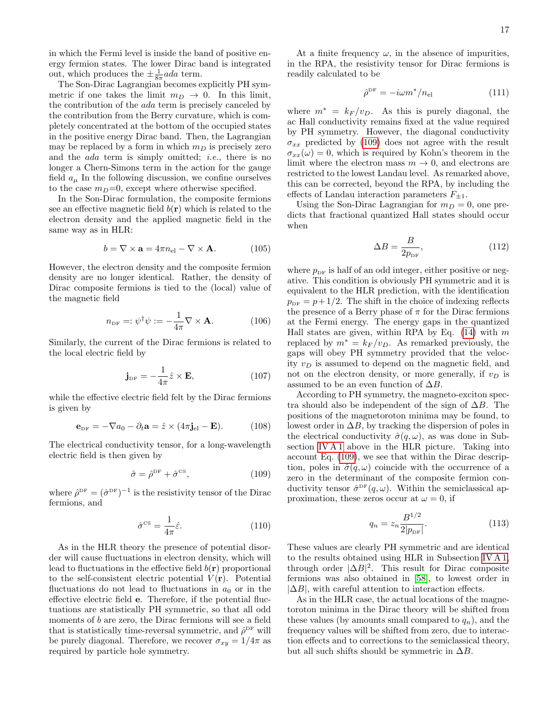in which the Fermi level is inside the band of positive energy fermion states. The lower Dirac band is integrated out, which produces the  $\pm \frac{1}{8\pi}ada$  term.

The Son-Dirac Lagrangian becomes explicitly PH symmetric if one takes the limit  $m_D \rightarrow 0$ . In this limit, the contribution of the ada term is precisely canceled by the contribution from the Berry curvature, which is completely concentrated at the bottom of the occupied states in the positive energy Dirac band. Then, the Lagrangian may be replaced by a form in which  $m_D$  is precisely zero and the ada term is simply omitted; i.e., there is no longer a Chern-Simons term in the action for the gauge field  $a_{\mu}$  In the following discussion, we confine ourselves to the case  $m_D=0$ , except where otherwise specified.

In the Son-Dirac formulation, the composite fermions see an effective magnetic field  $b(\mathbf{r})$  which is related to the electron density and the applied magnetic field in the same way as in HLR:

$$
b = \nabla \times \mathbf{a} = 4\pi n_{\rm el} - \nabla \times \mathbf{A}.
$$
 (105)

However, the electron density and the composite fermion density are no longer identical. Rather, the density of Dirac composite fermions is tied to the (local) value of the magnetic field

$$
n_{\text{DF}} =: \psi^{\dagger} \psi := -\frac{1}{4\pi} \nabla \times \mathbf{A}.
$$
 (106)

Similarly, the current of the Dirac fermions is related to the local electric field by

$$
\mathbf{j}_{\text{DF}} = -\frac{1}{4\pi}\hat{z} \times \mathbf{E},\tag{107}
$$

while the effective electric field felt by the Dirac fermions is given by

$$
\mathbf{e}_{\text{DF}} = -\nabla a_0 - \partial_t \mathbf{a} = \hat{z} \times (4\pi \mathbf{j}_{\text{el}} - \mathbf{E}). \tag{108}
$$

The electrical conductivity tensor, for a long-wavelength electric field is then given by

<span id="page-16-0"></span>
$$
\hat{\sigma} = \hat{\rho}^{\mathrm{DF}} + \hat{\sigma}^{\mathrm{CS}},\tag{109}
$$

where  $\hat{\rho}^{\text{DF}} = (\hat{\sigma}^{\text{DF}})^{-1}$  is the resistivity tensor of the Dirac fermions, and

$$
\hat{\sigma}^{\text{CS}} = \frac{1}{4\pi}\hat{\varepsilon}.\tag{110}
$$

As in the HLR theory the presence of potential disorder will cause fluctuations in electron density, which will lead to fluctuations in the effective field  $b(\mathbf{r})$  proportional to the self-consistent electric potential  $V(\mathbf{r})$ . Potential fluctuations do not lead to fluctuations in  $a_0$  or in the effective electric field e. Therefore, if the potential fluctuations are statistically PH symmetric, so that all odd moments of b are zero, the Dirac fermions will see a field that is statistically time-reversal symmetric, and  $\hat{\rho}^{\text{DF}}$  will be purely diagonal. Therefore, we recover  $\sigma_{xy} = 1/4\pi$  as required by particle hole symmetry.

At a finite frequency  $\omega$ , in the absence of impurities, in the RPA, the resistivity tensor for Dirac fermions is readily calculated to be

$$
\hat{\rho}^{\rm DF} = -i\omega m^* / n_{\rm el} \tag{111}
$$

where  $m^* = k_F / v_D$ . As this is purely diagonal, the ac Hall conductivity remains fixed at the value required by PH symmetry. However, the diagonal conductivity  $\sigma_{xx}$  predicted by [\(109\)](#page-16-0) does not agree with the result  $\sigma_{xx}(\omega) = 0$ , which is required by Kohn's theorem in the limit where the electron mass  $m \to 0$ , and electrons are restricted to the lowest Landau level. As remarked above, this can be corrected, beyond the RPA, by including the effects of Landau interaction parameters  $F_{\pm 1}$ .

Using the Son-Dirac Lagrangian for  $m_D = 0$ , one predicts that fractional quantized Hall states should occur when

$$
\Delta B = \frac{B}{2p_{\rm DF}},\tag{112}
$$

where  $p_{DF}$  is half of an odd integer, either positive or negative. This condition is obviously PH symmetric and it is equivalent to the HLR prediction, with the identification  $p_{\text{DF}} = p + 1/2$ . The shift in the choice of indexing reflects the presence of a Berry phase of  $\pi$  for the Dirac fermions at the Fermi energy. The energy gaps in the quantized Hall states are given, within RPA by Eq.  $(14)$  with m replaced by  $m^* = k_F / v_D$ . As remarked previously, the gaps will obey PH symmetry provided that the velocity  $v_D$  is assumed to depend on the magnetic field, and not on the electron density, or more generally, if  $v_D$  is assumed to be an even function of  $\Delta B$ .

According to PH symmetry, the magneto-exciton spectra should also be independent of the sign of  $\Delta B$ . The positions of the magnetoroton minima may be found, to lowest order in  $\Delta B$ , by tracking the dispersion of poles in the electrical conductivity  $\hat{\sigma}(q,\omega)$ , as was done in Subsection IVA 1 above in the HLR picture. Taking into account Eq. [\(109\)](#page-16-0), we see that within the Dirac description, poles in  $\hat{\sigma}(q,\omega)$  coincide with the occurrence of a zero in the determinant of the composite fermion conductivity tensor  $\hat{\sigma}^{\text{DF}}(q,\omega)$ . Within the semiclassical approximation, these zeros occur at  $\omega = 0$ , if

$$
q_n = z_n \frac{B^{1/2}}{2|p_{\text{DF}}|}.\tag{113}
$$

These values are clearly PH symmetric and are identical to the results obtained using HLR in Subsection [IV A 1,](#page-11-1) through order  $|\Delta B|^2$ . This result for Dirac composite fermions was also obtained in [\[58\]](#page-20-16), to lowest order in  $|\Delta B|$ , with careful attention to interaction effects.

As in the HLR case, the actual locations of the magnetoroton minima in the Dirac theory will be shifted from these values (by amounts small compared to  $q_n$ ), and the frequency values will be shifted from zero, due to interaction effects and to corrections to the semiclassical theory, but all such shifts should be symmetric in  $\Delta B$ .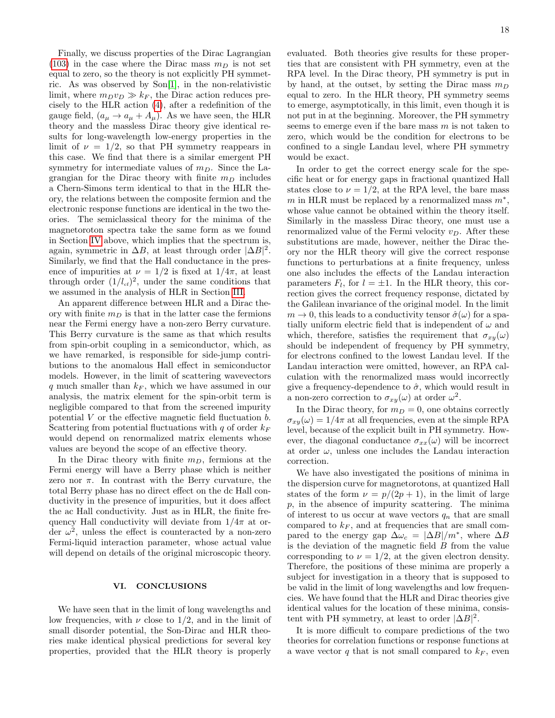Finally, we discuss properties of the Dirac Lagrangian [\(103\)](#page-15-3) in the case where the Dirac mass  $m_D$  is not set equal to zero, so the theory is not explicitly PH symmetric. As was observed by Son[\[1\]](#page-19-1), in the non-relativistic limit, where  $m_D v_D \gg k_F$ , the Dirac action reduces precisely to the HLR action [\(4\)](#page-2-3), after a redefinition of the gauge field,  $(a_{\mu} \rightarrow a_{\mu} + A_{\mu})$ . As we have seen, the HLR theory and the massless Dirac theory give identical results for long-wavelength low-energy properties in the limit of  $\nu = 1/2$ , so that PH symmetry reappears in this case. We find that there is a similar emergent PH symmetry for intermediate values of  $m_D$ . Since the Lagrangian for the Dirac theory with finite  $m_D$  includes a Chern-Simons term identical to that in the HLR theory, the relations between the composite fermion and the electronic response functions are identical in the two theories. The semiclassical theory for the minima of the magnetoroton spectra take the same form as we found in Section [IV](#page-10-0) above, which implies that the spectrum is, again, symmetric in  $\Delta B$ , at least through order  $|\Delta B|^2$ . Similarly, we find that the Hall conductance in the presence of impurities at  $\nu = 1/2$  is fixed at  $1/4\pi$ , at least through order  $(1/l_{\text{cf}})^2$ , under the same conditions that we assumed in the analysis of HLR in Section [III.](#page-4-1)

An apparent difference between HLR and a Dirac theory with finite  $m_D$  is that in the latter case the fermions near the Fermi energy have a non-zero Berry curvature. This Berry curvature is the same as that which results from spin-orbit coupling in a semiconductor, which, as we have remarked, is responsible for side-jump contributions to the anomalous Hall effect in semiconductor models. However, in the limit of scattering wavevectors q much smaller than  $k_F$ , which we have assumed in our analysis, the matrix element for the spin-orbit term is negligible compared to that from the screened impurity potential  $V$  or the effective magnetic field fluctuation  $b$ . Scattering from potential fluctuations with q of order  $k_F$ would depend on renormalized matrix elements whose values are beyond the scope of an effective theory.

In the Dirac theory with finite  $m_D$ , fermions at the Fermi energy will have a Berry phase which is neither zero nor  $\pi$ . In contrast with the Berry curvature, the total Berry phase has no direct effect on the dc Hall conductivity in the presence of impurities, but it does affect the ac Hall conductivity. Just as in HLR, the finite frequency Hall conductivity will deviate from  $1/4\pi$  at order  $\omega^2$ , unless the effect is counteracted by a non-zero Fermi-liquid interaction parameter, whose actual value will depend on details of the original microscopic theory.

### <span id="page-17-0"></span>VI. CONCLUSIONS

We have seen that in the limit of long wavelengths and low frequencies, with  $\nu$  close to 1/2, and in the limit of small disorder potential, the Son-Dirac and HLR theories make identical physical predictions for several key properties, provided that the HLR theory is properly evaluated. Both theories give results for these properties that are consistent with PH symmetry, even at the RPA level. In the Dirac theory, PH symmetry is put in by hand, at the outset, by setting the Dirac mass  $m_D$ equal to zero. In the HLR theory, PH symmetry seems to emerge, asymptotically, in this limit, even though it is not put in at the beginning. Moreover, the PH symmetry seems to emerge even if the bare mass  $m$  is not taken to zero, which would be the condition for electrons to be confined to a single Landau level, where PH symmetry would be exact.

In order to get the correct energy scale for the specific heat or for energy gaps in fractional quantized Hall states close to  $\nu = 1/2$ , at the RPA level, the bare mass m in HLR must be replaced by a renormalized mass  $m^*$ , whose value cannot be obtained within the theory itself. Similarly in the massless Dirac theory, one must use a renormalized value of the Fermi velocity  $v_D$ . After these substitutions are made, however, neither the Dirac theory nor the HLR theory will give the correct response functions to perturbations at a finite frequency, unless one also includes the effects of the Landau interaction parameters  $F_l$ , for  $l = \pm 1$ . In the HLR theory, this correction gives the correct frequency response, dictated by the Galilean invariance of the original model. In the limit  $m \to 0$ , this leads to a conductivity tensor  $\hat{\sigma}(\omega)$  for a spatially uniform electric field that is independent of  $\omega$  and which, therefore, satisfies the requirement that  $\sigma_{xy}(\omega)$ should be independent of frequency by PH symmetry, for electrons confined to the lowest Landau level. If the Landau interaction were omitted, however, an RPA calculation with the renormalized mass would incorrectly give a frequency-dependence to  $\hat{\sigma}$ , which would result in a non-zero correction to  $\sigma_{xy}(\omega)$  at order  $\omega^2$ .

In the Dirac theory, for  $m_D = 0$ , one obtains correctly  $\sigma_{xy}(\omega) = 1/4\pi$  at all frequencies, even at the simple RPA level, because of the explicit built in PH symmetry. However, the diagonal conductance  $\sigma_{xx}(\omega)$  will be incorrect at order  $\omega$ , unless one includes the Landau interaction correction.

We have also investigated the positions of minima in the dispersion curve for magnetorotons, at quantized Hall states of the form  $\nu = p/(2p+1)$ , in the limit of large p, in the absence of impurity scattering. The minima of interest to us occur at wave vectors  $q_n$  that are small compared to  $k_F$ , and at frequencies that are small compared to the energy gap  $\Delta \omega_c = |\Delta B|/m^*$ , where  $\Delta B$ is the deviation of the magnetic field  $B$  from the value corresponding to  $\nu = 1/2$ , at the given electron density. Therefore, the positions of these minima are properly a subject for investigation in a theory that is supposed to be valid in the limit of long wavelengths and low frequencies. We have found that the HLR and Dirac theories give identical values for the location of these minima, consistent with PH symmetry, at least to order  $|\Delta B|^2$ .

It is more difficult to compare predictions of the two theories for correlation functions or response functions at a wave vector q that is not small compared to  $k_F$ , even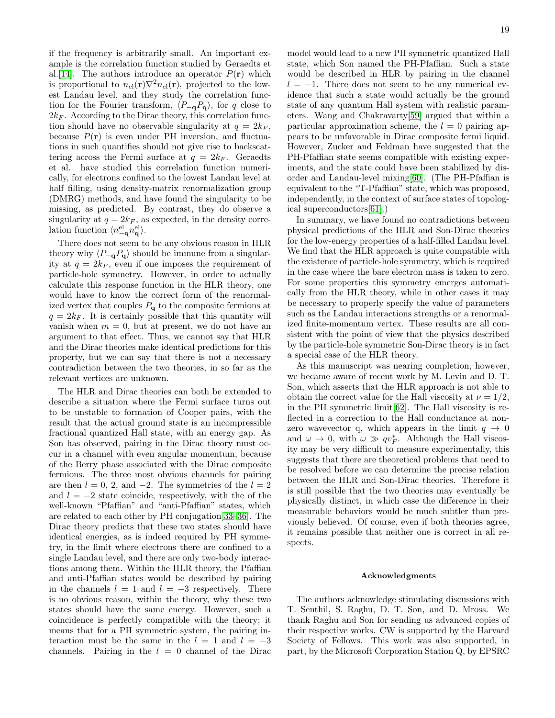if the frequency is arbitrarily small. An important example is the correlation function studied by Geraedts et al. [\[14\]](#page-19-16). The authors introduce an operator  $P(\mathbf{r})$  which is proportional to  $n_{\text{el}}(\mathbf{r})\nabla^2 n_{\text{el}}(\mathbf{r})$ , projected to the lowest Landau level, and they study the correlation function for the Fourier transform,  $\langle P_{-\mathbf{q}}P_{\mathbf{q}}\rangle$ , for q close to  $2k_F$ . According to the Dirac theory, this correlation function should have no observable singularity at  $q = 2k_F$ , because  $P(\mathbf{r})$  is even under PH inversion, and fluctuations in such quantifies should not give rise to backscattering across the Fermi surface at  $q = 2k_F$ . Geraedts et al. have studied this correlation function numerically, for electrons confined to the lowest Landau level at half filling, using density-matrix renormalization group (DMRG) methods, and have found the singularity to be missing, as predicted. By contrast, they do observe a singularity at  $q = 2k_F$ , as expected, in the density correlation function  $\langle n_{\mathbf{-q}}^{\text{el}} n_{\mathbf{q}}^{\text{el}} \rangle$ .

There does not seem to be any obvious reason in HLR theory why  $\langle P_{-q}P_q \rangle$  should be immune from a singularity at  $q = 2k_F$ , even if one imposes the requirement of particle-hole symmetry. However, in order to actually calculate this response function in the HLR theory, one would have to know the correct form of the renormalized vertex that couples  $P_{\mathbf{q}}$  to the composite fermions at  $q = 2k_F$ . It is certainly possible that this quantity will vanish when  $m = 0$ , but at present, we do not have an argument to that effect. Thus, we cannot say that HLR and the Dirac theories make identical predictions for this property, but we can say that there is not a necessary contradiction between the two theories, in so far as the relevant vertices are unknown.

The HLR and Dirac theories can both be extended to describe a situation where the Fermi surface turns out to be unstable to formation of Cooper pairs, with the result that the actual ground state is an incompressible fractional quantized Hall state, with an energy gap. As Son has observed, pairing in the Dirac theory must occur in a channel with even angular momentum, because of the Berry phase associated with the Dirac composite fermions. The three most obvious channels for pairing are then  $l = 0, 2,$  and  $-2$ . The symmetries of the  $l = 2$ and  $l = -2$  state coincide, respectively, with the of the well-known "Pfaffian" and "anti-Pfaffian" states, which are related to each other by PH conjugation[\[33–](#page-20-0)[36\]](#page-20-1). The Dirac theory predicts that these two states should have identical energies, as is indeed required by PH symmetry, in the limit where electrons there are confined to a single Landau level, and there are only two-body interactions among them. Within the HLR theory, the Pfaffian and anti-Pfaffian states would be described by pairing in the channels  $l = 1$  and  $l = -3$  respectively. There is no obvious reason, within the theory, why these two states should have the same energy. However, such a coincidence is perfectly compatible with the theory; it means that for a PH symmetric system, the pairing interaction must be the same in the  $l = 1$  and  $l = -3$ channels. Pairing in the  $l = 0$  channel of the Dirac model would lead to a new PH symmetric quantized Hall state, which Son named the PH-Pfaffian. Such a state would be described in HLR by pairing in the channel  $l = -1$ . There does not seem to be any numerical evidence that such a state would actually be the ground state of any quantum Hall system with realistic parameters. Wang and Chakravarty[\[59\]](#page-20-17) argued that within a particular approximation scheme, the  $l = 0$  pairing appears to be unfavorable in Dirac composite fermi liquid. However, Zucker and Feldman have suggested that the PH-Pfaffian state seems compatible with existing experiments, and the state could have been stabilized by disorder and Landau-level mixing[\[60\]](#page-20-18). (The PH-Pfaffian is equivalent to the "T-Pfaffian" state, which was proposed, independently, in the context of surface states of topological superconductors[\[61\]](#page-20-19).)

In summary, we have found no contradictions between physical predictions of the HLR and Son-Dirac theories for the low-energy properties of a half-filled Landau level. We find that the HLR approach is quite compatible with the existence of particle-hole symmetry, which is required in the case where the bare electron mass is taken to zero. For some properties this symmetry emerges automatically from the HLR theory, while in other cases it may be necessary to properly specify the value of parameters such as the Landau interactions strengths or a renormalized finite-momentum vertex. These results are all consistent with the point of view that the physics described by the particle-hole symmetric Son-Dirac theory is in fact a special case of the HLR theory.

As this manuscript was nearing completion, however, we became aware of recent work by M. Levin and D. T. Son, which asserts that the HLR approach is not able to obtain the correct value for the Hall viscosity at  $\nu = 1/2$ , in the PH symmetric limit[\[62\]](#page-20-20). The Hall viscosity is reflected in a correction to the Hall conductance at nonzero wavevector q, which appears in the limit  $q \to 0$ and  $\omega \to 0$ , with  $\omega \gg qv_F^*$ . Although the Hall viscosity may be very difficult to measure experimentally, this suggests that there are theoretical problems that need to be resolved before we can determine the precise relation between the HLR and Son-Dirac theories. Therefore it is still possible that the two theories may eventually be physically distinct, in which case the difference in their measurable behaviors would be much subtler than previously believed. Of course, even if both theories agree, it remains possible that neither one is correct in all respects.

#### <span id="page-18-0"></span>Acknowledgments

The authors acknowledge stimulating discussions with T. Senthil, S. Raghu, D. T. Son, and D. Mross. We thank Raghu and Son for sending us advanced copies of their respective works. CW is supported by the Harvard Society of Fellows. This work was also supported, in part, by the Microsoft Corporation Station Q, by EPSRC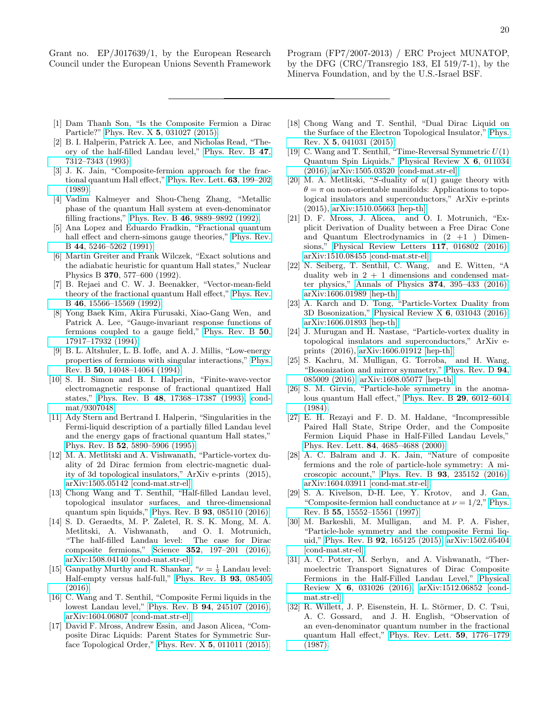Grant no. EP/J017639/1, by the European Research Council under the European Unions Seventh Framework

<span id="page-19-0"></span>Program (FP7/2007-2013) / ERC Project MUNATOP, by the DFG (CRC/Transregio 183, EI 519/7-1), by the Minerva Foundation, and by the U.S.-Israel BSF.

- <span id="page-19-1"></span>[1] Dam Thanh Son, "Is the Composite Fermion a Dirac Particle?" Phys. Rev. X 5[, 031027 \(2015\).](http://dx.doi.org/ 10.1103/PhysRevX.5.031027)
- <span id="page-19-2"></span>[2] B. I. Halperin, Patrick A. Lee, and Nicholas Read, "Theory of the half-filled Landau level," [Phys. Rev. B](http://dx.doi.org/10.1103/PhysRevB.47.7312) 47, [7312–7343 \(1993\).](http://dx.doi.org/10.1103/PhysRevB.47.7312)
- <span id="page-19-3"></span>[3] J. K. Jain, "Composite-fermion approach for the fractional quantum Hall effect," [Phys. Rev. Lett.](http://dx.doi.org/ 10.1103/PhysRevLett.63.199) 63, 199–202 [\(1989\).](http://dx.doi.org/ 10.1103/PhysRevLett.63.199)
- [4] Vadim Kalmeyer and Shou-Cheng Zhang, "Metallic phase of the quantum Hall system at even-denominator filling fractions," Phys. Rev. B 46[, 9889–9892 \(1992\).](http://dx.doi.org/10.1103/PhysRevB.46.9889)
- [5] Ana Lopez and Eduardo Fradkin, "Fractional quantum hall effect and chern-simons gauge theories," [Phys. Rev.](http://dx.doi.org/ 10.1103/PhysRevB.44.5246) B 44[, 5246–5262 \(1991\).](http://dx.doi.org/ 10.1103/PhysRevB.44.5246)
- [6] Martin Greiter and Frank Wilczek, "Exact solutions and the adiabatic heuristic for quantum Hall states," Nuclear Physics B 370, 577–600 (1992).
- [7] B. Rejaei and C. W. J. Beenakker, "Vector-mean-field theory of the fractional quantum Hall effect," [Phys. Rev.](http://dx.doi.org/10.1103/PhysRevB.46.15566) B 46[, 15566–15569 \(1992\).](http://dx.doi.org/10.1103/PhysRevB.46.15566)
- <span id="page-19-21"></span>[8] Yong Baek Kim, Akira Furusaki, Xiao-Gang Wen, and Patrick A. Lee, "Gauge-invariant response functions of fermions coupled to a gauge field," [Phys. Rev. B](http://dx.doi.org/ 10.1103/PhysRevB.50.17917) 50, [17917–17932 \(1994\).](http://dx.doi.org/ 10.1103/PhysRevB.50.17917)
- <span id="page-19-22"></span>[9] B. L. Altshuler, L. B. Ioffe, and A. J. Millis, "Low-energy properties of fermions with singular interactions," [Phys.](http://dx.doi.org/ 10.1103/PhysRevB.50.14048) Rev. B 50[, 14048–14064 \(1994\).](http://dx.doi.org/ 10.1103/PhysRevB.50.14048)
- <span id="page-19-20"></span>[10] S. H. Simon and B. I. Halperin, "Finite-wave-vector electromagnetic response of fractional quantized Hall states," Phys. Rev. B 48[, 17368–17387 \(1993\),](http://dx.doi.org/10.1103/PhysRevB.48.17368) [cond](http://arxiv.org/abs/cond-mat/9307048)[mat/9307048.](http://arxiv.org/abs/cond-mat/9307048)
- <span id="page-19-4"></span>[11] Ady Stern and Bertrand I. Halperin, "Singularities in the Fermi-liquid description of a partially filled Landau level and the energy gaps of fractional quantum Hall states," Phys. Rev. B 52[, 5890–5906 \(1995\).](http://dx.doi.org/ 10.1103/PhysRevB.52.5890)
- <span id="page-19-5"></span>[12] M. A. Metlitski and A. Vishwanath, "Particle-vortex duality of 2d Dirac fermion from electric-magnetic duality of 3d topological insulators," ArXiv e-prints (2015), [arXiv:1505.05142 \[cond-mat.str-el\].](http://arxiv.org/abs/1505.05142)
- <span id="page-19-24"></span>[13] Chong Wang and T. Senthil, "Half-filled Landau level, topological insulator surfaces, and three-dimensional quantum spin liquids," Phys. Rev. B 93[, 085110 \(2016\).](http://dx.doi.org/10.1103/PhysRevB.93.085110)
- <span id="page-19-16"></span>[14] S. D. Geraedts, M. P. Zaletel, R. S. K. Mong, M. A. Metlitski, A. Vishwanath, and O. I. Motrunich, "The half-filled Landau level: The case for Dirac composite fermions," Science 352[, 197–201 \(2016\),](http://dx.doi.org/10.1126/science.aad4302) [arXiv:1508.04140 \[cond-mat.str-el\].](http://arxiv.org/abs/1508.04140)
- [15] Ganpathy Murthy and R. Shankar,  $\omega = \frac{1}{2}$  Landau level: Half-empty versus half-full," [Phys. Rev. B](http://dx.doi.org/10.1103/PhysRevB.93.085405) 93, 085405 [\(2016\).](http://dx.doi.org/10.1103/PhysRevB.93.085405)
- <span id="page-19-6"></span>[16] C. Wang and T. Senthil, "Composite Fermi liquids in the lowest Landau level," Phys. Rev. B 94[, 245107 \(2016\),](http://dx.doi.org/ 10.1103/PhysRevB.94.245107) [arXiv:1604.06807 \[cond-mat.str-el\].](http://arxiv.org/abs/1604.06807)
- <span id="page-19-7"></span>[17] David F. Mross, Andrew Essin, and Jason Alicea, "Composite Dirac Liquids: Parent States for Symmetric Surface Topological Order," Phys. Rev. X 5[, 011011 \(2015\).](http://dx.doi.org/10.1103/PhysRevX.5.011011)
- <span id="page-19-8"></span>[18] Chong Wang and T. Senthil, "Dual Dirac Liquid on the Surface of the Electron Topological Insulator," [Phys.](http://dx.doi.org/ 10.1103/PhysRevX.5.041031) Rev. X 5[, 041031 \(2015\).](http://dx.doi.org/ 10.1103/PhysRevX.5.041031)
- <span id="page-19-9"></span>[19] C. Wang and T. Senthil, "Time-Reversal Symmetric  $U(1)$ Quantum Spin Liquids," [Physical Review X](http://dx.doi.org/ 10.1103/PhysRevX.6.011034) 6, 011034 [\(2016\),](http://dx.doi.org/ 10.1103/PhysRevX.6.011034) [arXiv:1505.03520 \[cond-mat.str-el\].](http://arxiv.org/abs/1505.03520)
- <span id="page-19-10"></span>[20] M. A. Metlitski, "S-duality of  $u(1)$  gauge theory with  $\theta = \pi$  on non-orientable manifolds: Applications to topological insulators and superconductors," ArXiv e-prints (2015), [arXiv:1510.05663 \[hep-th\].](http://arxiv.org/abs/1510.05663)
- <span id="page-19-11"></span>[21] D. F. Mross, J. Alicea, and O. I. Motrunich, "Explicit Derivation of Duality between a Free Dirac Cone and Quantum Electrodynamics in  $(2 +1)$  Dimensions," [Physical Review Letters](http://dx.doi.org/10.1103/PhysRevLett.117.016802) 117, 016802 (2016), [arXiv:1510.08455 \[cond-mat.str-el\].](http://arxiv.org/abs/1510.08455)
- [22] N. Seiberg, T. Senthil, C. Wang, and E. Witten, "A duality web in  $2 + 1$  dimensions and condensed matter physics," [Annals of Physics](http://dx.doi.org/ 10.1016/j.aop.2016.08.007) 374, 395–433 (2016), [arXiv:1606.01989 \[hep-th\].](http://arxiv.org/abs/1606.01989)
- [23] A. Karch and D. Tong, "Particle-Vortex Duality from 3D Bosonization," [Physical Review X](http://dx.doi.org/10.1103/PhysRevX.6.031043) 6, 031043 (2016), [arXiv:1606.01893 \[hep-th\].](http://arxiv.org/abs/1606.01893)
- [24] J. Murugan and H. Nastase, "Particle-vortex duality in topological insulators and superconductors," ArXiv eprints (2016), [arXiv:1606.01912 \[hep-th\].](http://arxiv.org/abs/1606.01912)
- <span id="page-19-12"></span>[25] S. Kachru, M. Mulligan, G. Torroba, and H. Wang, "Bosonization and mirror symmetry," [Phys. Rev. D](http://dx.doi.org/10.1103/PhysRevD.94.085009) 94, [085009 \(2016\),](http://dx.doi.org/10.1103/PhysRevD.94.085009) [arXiv:1608.05077 \[hep-th\].](http://arxiv.org/abs/1608.05077)
- <span id="page-19-13"></span>[26] S. M. Girvin, "Particle-hole symmetry in the anomalous quantum Hall effect," [Phys. Rev. B](http://dx.doi.org/ 10.1103/PhysRevB.29.6012) 29, 6012–6014 [\(1984\).](http://dx.doi.org/ 10.1103/PhysRevB.29.6012)
- <span id="page-19-14"></span>[27] E. H. Rezayi and F. D. M. Haldane, "Incompressible Paired Hall State, Stripe Order, and the Composite Fermion Liquid Phase in Half-Filled Landau Levels," Phys. Rev. Lett. 84[, 4685–4688 \(2000\).](http://dx.doi.org/10.1103/PhysRevLett.84.4685)
- <span id="page-19-15"></span>[28] A. C. Balram and J. K. Jain, "Nature of composite fermions and the role of particle-hole symmetry: A microscopic account," Phys. Rev. B 93[, 235152 \(2016\),](http://dx.doi.org/10.1103/PhysRevB.93.235152) [arXiv:1604.03911 \[cond-mat.str-el\].](http://arxiv.org/abs/1604.03911)
- <span id="page-19-17"></span>[29] S. A. Kivelson, D-H. Lee, Y. Krotov, and J. Gan, "Composite-fermion hall conductance at  $\nu = 1/2$ ," [Phys.](http://dx.doi.org/10.1103/PhysRevB.55.15552) Rev. B 55[, 15552–15561 \(1997\).](http://dx.doi.org/10.1103/PhysRevB.55.15552)
- <span id="page-19-18"></span>[30] M. Barkeshli, M. Mulligan, and M. P. A. Fisher, "Particle-hole symmetry and the composite Fermi liquid," Phys. Rev. B 92[, 165125 \(2015\),](http://dx.doi.org/ 10.1103/PhysRevB.92.165125) [arXiv:1502.05404](http://arxiv.org/abs/1502.05404) [\[cond-mat.str-el\].](http://arxiv.org/abs/1502.05404)
- <span id="page-19-19"></span>[31] A. C. Potter, M. Serbyn, and A. Vishwanath, "Thermoelectric Transport Signatures of Dirac Composite Fermions in the Half-Filled Landau Level," [Physical](http://dx.doi.org/10.1103/PhysRevX.6.031026) Review X 6[, 031026 \(2016\),](http://dx.doi.org/10.1103/PhysRevX.6.031026) [arXiv:1512.06852 \[cond](http://arxiv.org/abs/1512.06852)[mat.str-el\].](http://arxiv.org/abs/1512.06852)
- <span id="page-19-23"></span>[32] R. Willett, J. P. Eisenstein, H. L. Störmer, D. C. Tsui, A. C. Gossard, and J. H. English, "Observation of an even-denominator quantum number in the fractional quantum Hall effect," [Phys. Rev. Lett.](http://dx.doi.org/10.1103/PhysRevLett.59.1776) 59, 1776–1779 [\(1987\).](http://dx.doi.org/10.1103/PhysRevLett.59.1776)